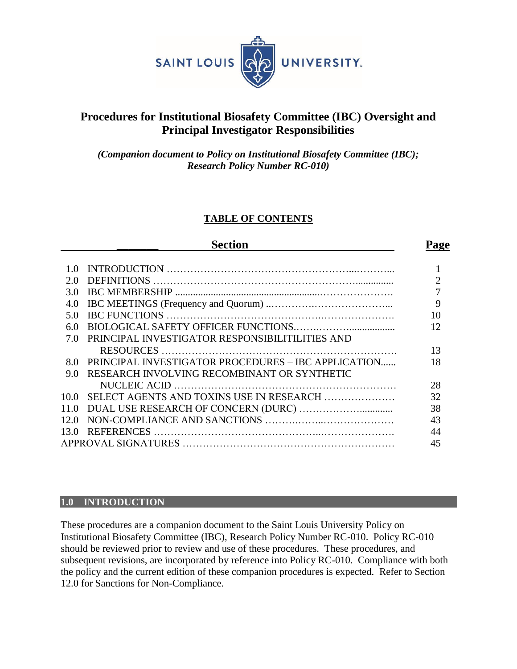

# **Procedures for Institutional Biosafety Committee (IBC) Oversight and Principal Investigator Responsibilities**

*(Companion document to Policy on Institutional Biosafety Committee (IBC); Research Policy Number RC-010)*

# **TABLE OF CONTENTS**

| <b>Section</b> |                                                     |                |  |  |
|----------------|-----------------------------------------------------|----------------|--|--|
|                |                                                     |                |  |  |
| 1.0            |                                                     |                |  |  |
| 2.0            |                                                     | $\overline{2}$ |  |  |
| 3.0            |                                                     | 7              |  |  |
| 4.0            |                                                     | 9              |  |  |
| 5.0            |                                                     | 10             |  |  |
| 6.0            |                                                     | 12             |  |  |
| 7.0            | PRINCIPAL INVESTIGATOR RESPONSIBILITILITIES AND     |                |  |  |
|                |                                                     | 13             |  |  |
| 8.0            | PRINCIPAL INVESTIGATOR PROCEDURES - IBC APPLICATION | 18             |  |  |
| 9.0            | RESEARCH INVOLVING RECOMBINANT OR SYNTHETIC         |                |  |  |
|                |                                                     | 28             |  |  |
|                | 10.0 SELECT AGENTS AND TOXINS USE IN RESEARCH       | 32             |  |  |
| 11.0           |                                                     | 38             |  |  |
| 12.0           |                                                     | 43             |  |  |
| 13.0           |                                                     | 44             |  |  |
|                |                                                     | 45             |  |  |
|                |                                                     |                |  |  |

#### **1.0 INTRODUCTION**

These procedures are a companion document to the Saint Louis University Policy on Institutional Biosafety Committee (IBC), Research Policy Number RC-010. Policy RC-010 should be reviewed prior to review and use of these procedures. These procedures, and subsequent revisions, are incorporated by reference into Policy RC-010. Compliance with both the policy and the current edition of these companion procedures is expected. Refer to Section 12.0 for Sanctions for Non-Compliance.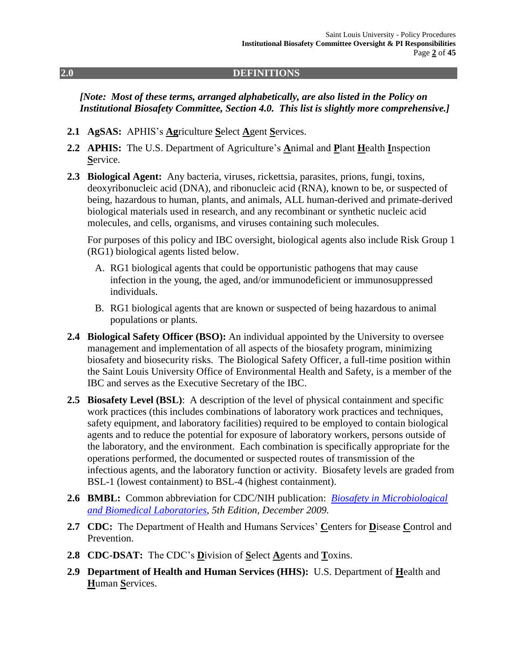#### **2.0 DEFINITIONS**

*[Note: Most of these terms, arranged alphabetically, are also listed in the Policy on Institutional Biosafety Committee, Section 4.0. This list is slightly more comprehensive.]*

- **2.1 AgSAS:** APHIS's **Ag**riculture **S**elect **A**gent **S**ervices.
- **2.2 APHIS:** The U.S. Department of Agriculture's **A**nimal and **P**lant **H**ealth **I**nspection **S**ervice.
- **2.3 Biological Agent:** Any bacteria, viruses, rickettsia, parasites, prions, fungi, toxins, deoxyribonucleic acid (DNA), and ribonucleic acid (RNA), known to be, or suspected of being, hazardous to human, plants, and animals, ALL human-derived and primate-derived biological materials used in research, and any recombinant or synthetic nucleic acid molecules, and cells, organisms, and viruses containing such molecules.

For purposes of this policy and IBC oversight, biological agents also include Risk Group 1 (RG1) biological agents listed below.

- A. RG1 biological agents that could be opportunistic pathogens that may cause infection in the young, the aged, and/or immunodeficient or immunosuppressed individuals.
- B. RG1 biological agents that are known or suspected of being hazardous to animal populations or plants.
- **2.4 Biological Safety Officer (BSO):** An individual appointed by the University to oversee management and implementation of all aspects of the biosafety program, minimizing biosafety and biosecurity risks. The Biological Safety Officer, a full-time position within the Saint Louis University Office of Environmental Health and Safety, is a member of the IBC and serves as the Executive Secretary of the IBC.
- **2.5 Biosafety Level (BSL)**: A description of the level of physical containment and specific work practices (this includes combinations of laboratory work practices and techniques, safety equipment, and laboratory facilities) required to be employed to contain biological agents and to reduce the potential for exposure of laboratory workers, persons outside of the laboratory, and the environment. Each combination is specifically appropriate for the operations performed, the documented or suspected routes of transmission of the infectious agents, and the laboratory function or activity. Biosafety levels are graded from BSL-1 (lowest containment) to BSL-4 (highest containment).
- **2.6 BMBL:** Common abbreviation for CDC/NIH publication: *[Biosafety in Microbiological](http://www.cdc.gov/biosafety/publications/bmbl5/)  [and Biomedical Laboratories](http://www.cdc.gov/biosafety/publications/bmbl5/)*, *5th Edition, December 2009.*
- **2.7 CDC:** The Department of Health and Humans Services' **C**enters for **D**isease **C**ontrol and Prevention.
- **2.8 CDC-DSAT:** The CDC's **D**ivision of **S**elect **A**gents and **T**oxins.
- **2.9 Department of Health and Human Services (HHS):** U.S. Department of **H**ealth and **H**uman **S**ervices.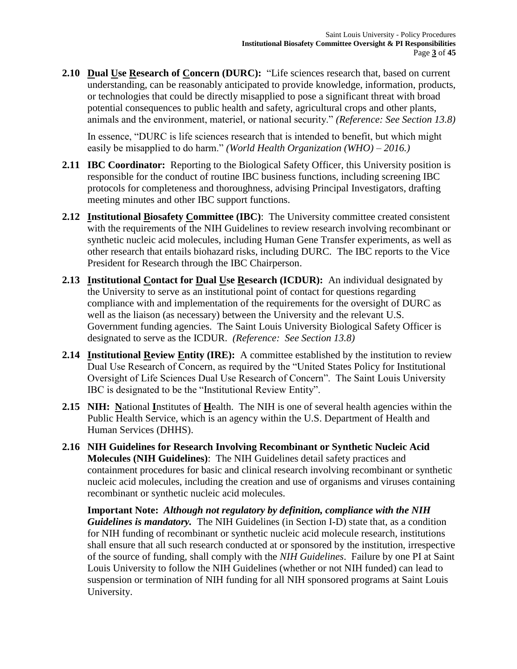**2.10 Dual Use Research of Concern (DURC):** "Life sciences research that, based on current understanding, can be reasonably anticipated to provide knowledge, information, products, or technologies that could be directly misapplied to pose a significant threat with broad potential consequences to public health and safety, agricultural crops and other plants, animals and the environment, materiel, or national security." *(Reference: See Section 13.8)*

In essence, "DURC is life sciences research that is intended to benefit, but which might easily be misapplied to do harm." *(World Health Organization (WHO) – 2016.)*

- **2.11 IBC Coordinator:** Reporting to the Biological Safety Officer, this University position is responsible for the conduct of routine IBC business functions, including screening IBC protocols for completeness and thoroughness, advising Principal Investigators, drafting meeting minutes and other IBC support functions.
- **2.12 Institutional Biosafety Committee (IBC)**: The University committee created consistent with the requirements of the NIH Guidelines to review research involving recombinant or synthetic nucleic acid molecules, including Human Gene Transfer experiments, as well as other research that entails biohazard risks, including DURC. The IBC reports to the Vice President for Research through the IBC Chairperson.
- **2.13 Institutional Contact for Dual Use Research (ICDUR):** An individual designated by the University to serve as an institutional point of contact for questions regarding compliance with and implementation of the requirements for the oversight of DURC as well as the liaison (as necessary) between the University and the relevant U.S. Government funding agencies. The Saint Louis University Biological Safety Officer is designated to serve as the ICDUR. *(Reference: See Section 13.8)*
- **2.14 Institutional Review Entity (IRE):** A committee established by the institution to review Dual Use Research of Concern, as required by the "United States Policy for Institutional Oversight of Life Sciences Dual Use Research of Concern". The Saint Louis University IBC is designated to be the "Institutional Review Entity".
- **2.15 NIH: N**ational **I**nstitutes of **H**ealth. The NIH is one of several health agencies within the Public Health Service, which is an agency within the U.S. Department of Health and Human Services (DHHS).
- **2.16 NIH Guidelines for Research Involving Recombinant or Synthetic Nucleic Acid Molecules (NIH Guidelines)**: The NIH Guidelines detail safety practices and containment procedures for basic and clinical research involving recombinant or synthetic nucleic acid molecules, including the creation and use of organisms and viruses containing recombinant or synthetic nucleic acid molecules.

**Important Note:** *Although not regulatory by definition, compliance with the NIH Guidelines is mandatory.* The NIH Guidelines (in Section I-D) state that, as a condition for NIH funding of recombinant or synthetic nucleic acid molecule research, institutions shall ensure that all such research conducted at or sponsored by the institution, irrespective of the source of funding, shall comply with the *NIH Guidelines*. Failure by one PI at Saint Louis University to follow the NIH Guidelines (whether or not NIH funded) can lead to suspension or termination of NIH funding for all NIH sponsored programs at Saint Louis University.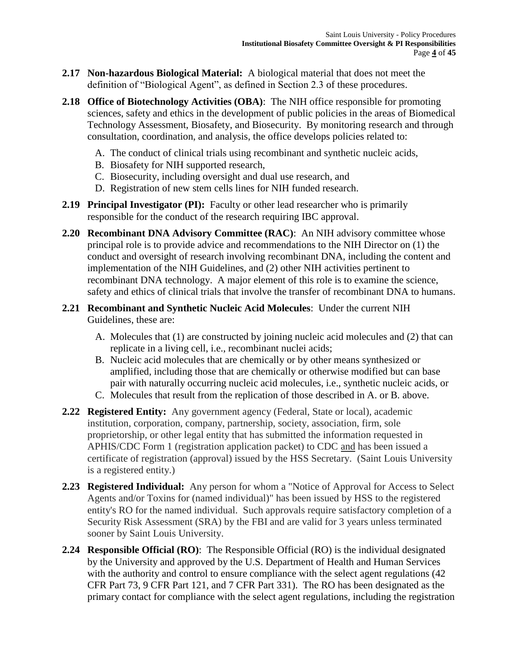- **2.17 Non-hazardous Biological Material:** A biological material that does not meet the definition of "Biological Agent", as defined in Section 2.3 of these procedures.
- **2.18 Office of Biotechnology Activities (OBA)**: The NIH office responsible for promoting sciences, safety and ethics in the development of public policies in the areas of Biomedical Technology Assessment, Biosafety, and Biosecurity. By monitoring research and through consultation, coordination, and analysis, the office develops policies related to:
	- A. The conduct of clinical trials using recombinant and synthetic nucleic acids,
	- B. Biosafety for NIH supported research,
	- C. Biosecurity, including oversight and dual use research, and
	- D. Registration of new stem cells lines for NIH funded research.
- **2.19 Principal Investigator (PI):** Faculty or other lead researcher who is primarily responsible for the conduct of the research requiring IBC approval.
- **2.20 Recombinant DNA Advisory Committee (RAC)**: An NIH advisory committee whose principal role is to provide advice and recommendations to the NIH Director on (1) the conduct and oversight of research involving recombinant DNA, including the content and implementation of the NIH Guidelines, and (2) other NIH activities pertinent to recombinant DNA technology. A major element of this role is to examine the science, safety and ethics of clinical trials that involve the transfer of recombinant DNA to humans.
- **2.21 Recombinant and Synthetic Nucleic Acid Molecules**: Under the current NIH Guidelines, these are:
	- A. Molecules that (1) are constructed by joining nucleic acid molecules and (2) that can replicate in a living cell, i.e., recombinant nuclei acids;
	- B. Nucleic acid molecules that are chemically or by other means synthesized or amplified, including those that are chemically or otherwise modified but can base pair with naturally occurring nucleic acid molecules, i.e., synthetic nucleic acids, or
	- C. Molecules that result from the replication of those described in A. or B. above.
- **2.22 Registered Entity:** Any government agency (Federal, State or local), academic institution, corporation, company, partnership, society, association, firm, sole proprietorship, or other legal entity that has submitted the information requested in APHIS/CDC Form 1 (registration application packet) to CDC and has been issued a certificate of registration (approval) issued by the HSS Secretary. (Saint Louis University is a registered entity.)
- **2.23 Registered Individual:** Any person for whom a "Notice of Approval for Access to Select Agents and/or Toxins for (named individual)" has been issued by HSS to the registered entity's RO for the named individual. Such approvals require satisfactory completion of a Security Risk Assessment (SRA) by the FBI and are valid for 3 years unless terminated sooner by Saint Louis University.
- **2.24 Responsible Official (RO)**: The Responsible Official (RO) is the individual designated by the University and approved by the U.S. Department of Health and Human Services with the authority and control to ensure compliance with the select agent regulations (42) CFR Part 73, 9 CFR Part 121, and 7 CFR Part 331). The RO has been designated as the primary contact for compliance with the select agent regulations, including the registration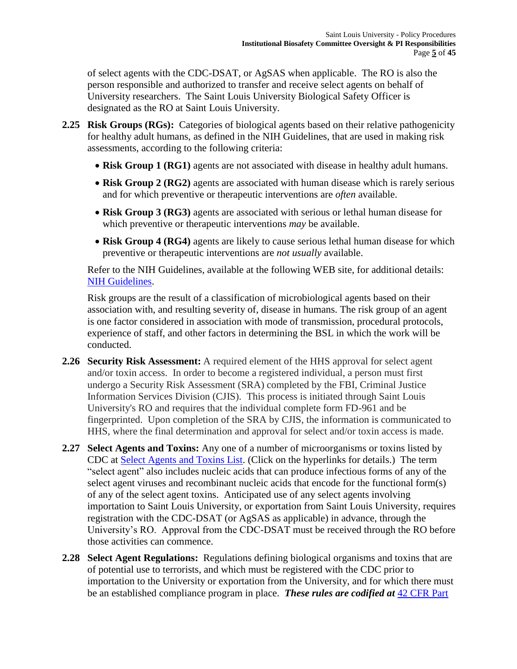of select agents with the CDC-DSAT, or AgSAS when applicable. The RO is also the person responsible and authorized to transfer and receive select agents on behalf of University researchers. The Saint Louis University Biological Safety Officer is designated as the RO at Saint Louis University.

- **2.25 Risk Groups (RGs):** Categories of biological agents based on their relative pathogenicity for healthy adult humans, as defined in the NIH Guidelines, that are used in making risk assessments, according to the following criteria:
	- **Risk Group 1 (RG1)** agents are not associated with disease in healthy adult humans.
	- Risk Group 2 (RG2) agents are associated with human disease which is rarely serious and for which preventive or therapeutic interventions are *often* available.
	- **Risk Group 3 (RG3)** agents are associated with serious or lethal human disease for which preventive or therapeutic interventions *may* be available.
	- **Risk Group 4 (RG4)** agents are likely to cause serious lethal human disease for which preventive or therapeutic interventions are *not usually* available.

Refer to the NIH Guidelines, available at the following WEB site, for additional details: [NIH Guidelines.](http://osp.od.nih.gov/office-biotechnology-activities/biosafety/nih-guidelines)

Risk groups are the result of a classification of microbiological agents based on their association with, and resulting severity of, disease in humans. The risk group of an agent is one factor considered in association with mode of transmission, procedural protocols, experience of staff, and other factors in determining the BSL in which the work will be conducted.

- **2.26 Security Risk Assessment:** A required element of the HHS approval for select agent and/or toxin access. In order to become a registered individual, a person must first undergo a Security Risk Assessment (SRA) completed by the FBI, Criminal Justice Information Services Division (CJIS). This process is initiated through Saint Louis University's RO and requires that the individual complete form FD-961 and be fingerprinted. Upon completion of the SRA by CJIS, the information is communicated to HHS, where the final determination and approval for select and/or toxin access is made.
- **2.27 Select Agents and Toxins:** Any one of a number of microorganisms or toxins listed by CDC at [Select Agents and Toxins List.](http://www.selectagents.gov/SelectAgentsandToxinsList.html) (Click on the hyperlinks for details.) The term "select agent" also includes nucleic acids that can produce infectious forms of any of the select agent viruses and recombinant nucleic acids that encode for the functional form(s) of any of the select agent toxins. Anticipated use of any select agents involving importation to Saint Louis University, or exportation from Saint Louis University, requires registration with the CDC-DSAT (or AgSAS as applicable) in advance, through the University's RO. Approval from the CDC-DSAT must be received through the RO before those activities can commence.
- **2.28 Select Agent Regulations:** Regulations defining biological organisms and toxins that are of potential use to terrorists, and which must be registered with the CDC prior to importation to the University or exportation from the University, and for which there must be an established compliance program in place. *These rules are codified at* [42 CFR Part](http://www.ecfr.gov/cgi-bin/text-idx?tpl=/ecfrbrowse/Title42/42cfr73_main_02.tpl)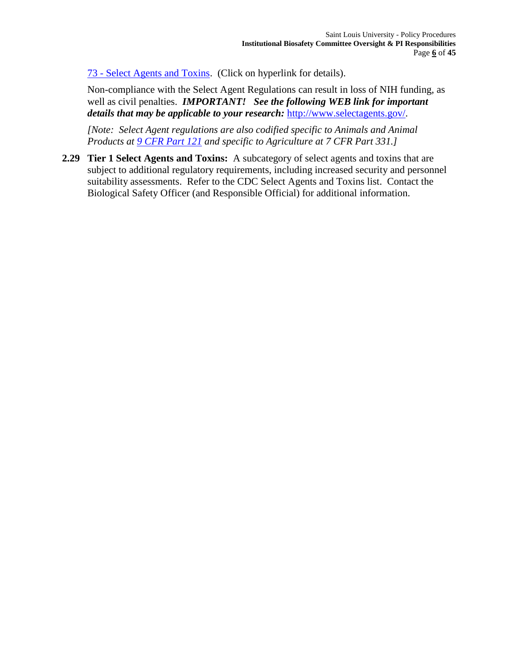73 - [Select Agents and Toxins.](http://www.ecfr.gov/cgi-bin/text-idx?tpl=/ecfrbrowse/Title42/42cfr73_main_02.tpl) (Click on hyperlink for details).

Non-compliance with the Select Agent Regulations can result in loss of NIH funding, as well as civil penalties. *IMPORTANT! See the following WEB link for important details that may be applicable to your research:* [http://www.selectagents.gov/.](http://www.selectagents.gov/)

*[Note: Select Agent regulations are also codified specific to Animals and Animal Products at [9 CFR Part 121](http://www.ecfr.gov/cgi-bin/retrieveECFR?gp=1&SID=b9126e9fba23e3e7933354a1d2630d72&ty=HTML&h=L&n=9y1.0.1.5.58&r=PART) and specific to Agriculture at 7 CFR Part 331.]*

**2.29 Tier 1 Select Agents and Toxins:** A subcategory of select agents and toxins that are subject to additional regulatory requirements, including increased security and personnel suitability assessments. Refer to the CDC Select Agents and Toxins list. Contact the Biological Safety Officer (and Responsible Official) for additional information.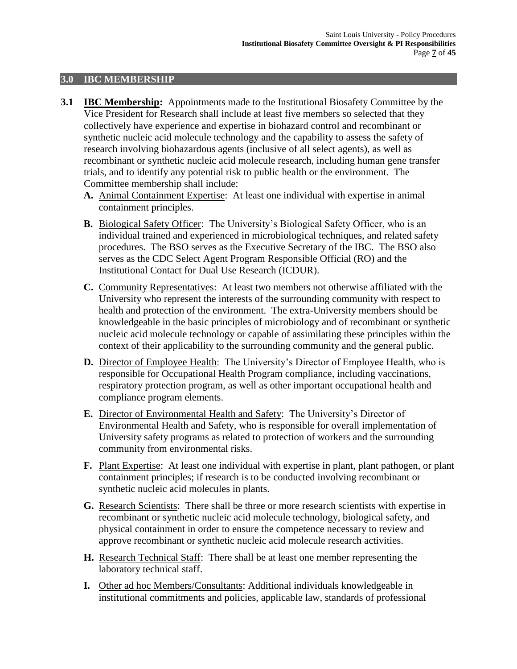#### **3.0 IBC MEMBERSHIP**

- **3.1 IBC Membership:** Appointments made to the Institutional Biosafety Committee by the Vice President for Research shall include at least five members so selected that they collectively have experience and expertise in biohazard control and recombinant or synthetic nucleic acid molecule technology and the capability to assess the safety of research involving biohazardous agents (inclusive of all select agents), as well as recombinant or synthetic nucleic acid molecule research, including human gene transfer trials, and to identify any potential risk to public health or the environment. The Committee membership shall include:
	- **A.** Animal Containment Expertise: At least one individual with expertise in animal containment principles.
	- **B.** Biological Safety Officer: The University's Biological Safety Officer, who is an individual trained and experienced in microbiological techniques, and related safety procedures. The BSO serves as the Executive Secretary of the IBC. The BSO also serves as the CDC Select Agent Program Responsible Official (RO) and the Institutional Contact for Dual Use Research (ICDUR).
	- **C.** Community Representatives: At least two members not otherwise affiliated with the University who represent the interests of the surrounding community with respect to health and protection of the environment. The extra-University members should be knowledgeable in the basic principles of microbiology and of recombinant or synthetic nucleic acid molecule technology or capable of assimilating these principles within the context of their applicability to the surrounding community and the general public.
	- **D.** Director of Employee Health: The University's Director of Employee Health, who is responsible for Occupational Health Program compliance, including vaccinations, respiratory protection program, as well as other important occupational health and compliance program elements.
	- **E.** Director of Environmental Health and Safety: The University's Director of Environmental Health and Safety, who is responsible for overall implementation of University safety programs as related to protection of workers and the surrounding community from environmental risks.
	- **F.** Plant Expertise: At least one individual with expertise in plant, plant pathogen, or plant containment principles; if research is to be conducted involving recombinant or synthetic nucleic acid molecules in plants.
	- **G.** Research Scientists: There shall be three or more research scientists with expertise in recombinant or synthetic nucleic acid molecule technology, biological safety, and physical containment in order to ensure the competence necessary to review and approve recombinant or synthetic nucleic acid molecule research activities.
	- **H.** Research Technical Staff: There shall be at least one member representing the laboratory technical staff.
	- **I.** Other ad hoc Members/Consultants: Additional individuals knowledgeable in institutional commitments and policies, applicable law, standards of professional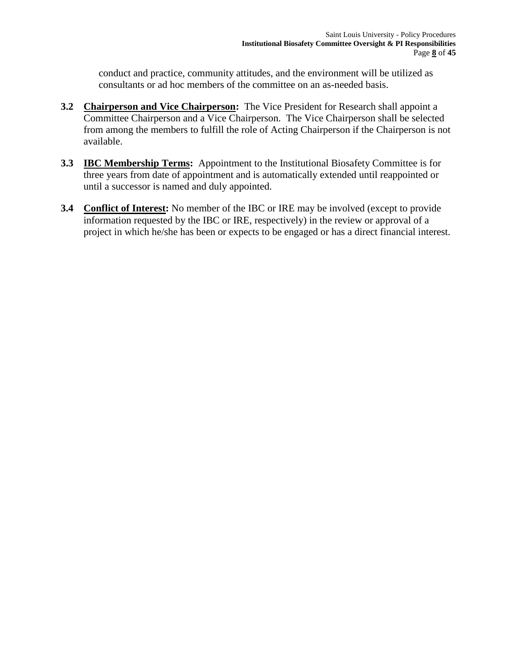conduct and practice, community attitudes, and the environment will be utilized as consultants or ad hoc members of the committee on an as-needed basis.

- **3.2 Chairperson and Vice Chairperson:** The Vice President for Research shall appoint a Committee Chairperson and a Vice Chairperson. The Vice Chairperson shall be selected from among the members to fulfill the role of Acting Chairperson if the Chairperson is not available.
- **3.3 IBC Membership Terms:** Appointment to the Institutional Biosafety Committee is for three years from date of appointment and is automatically extended until reappointed or until a successor is named and duly appointed.
- **3.4 Conflict of Interest:** No member of the IBC or IRE may be involved (except to provide information requested by the IBC or IRE, respectively) in the review or approval of a project in which he/she has been or expects to be engaged or has a direct financial interest.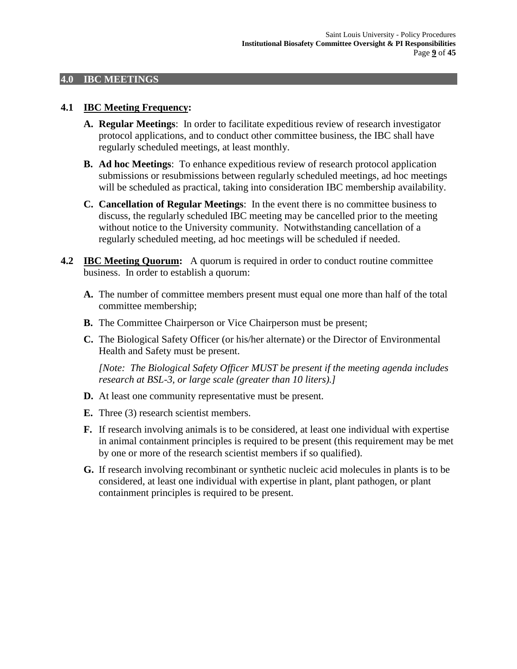#### **4.0 IBC MEETINGS**

#### **4.1 IBC Meeting Frequency:**

- **A. Regular Meetings**: In order to facilitate expeditious review of research investigator protocol applications, and to conduct other committee business, the IBC shall have regularly scheduled meetings, at least monthly.
- **B. Ad hoc Meetings**: To enhance expeditious review of research protocol application submissions or resubmissions between regularly scheduled meetings, ad hoc meetings will be scheduled as practical, taking into consideration IBC membership availability.
- **C. Cancellation of Regular Meetings**: In the event there is no committee business to discuss, the regularly scheduled IBC meeting may be cancelled prior to the meeting without notice to the University community. Notwithstanding cancellation of a regularly scheduled meeting, ad hoc meetings will be scheduled if needed.
- **4.2 IBC Meeting Quorum:** A quorum is required in order to conduct routine committee business. In order to establish a quorum:
	- **A.** The number of committee members present must equal one more than half of the total committee membership;
	- **B.** The Committee Chairperson or Vice Chairperson must be present;
	- **C.** The Biological Safety Officer (or his/her alternate) or the Director of Environmental Health and Safety must be present.

*[Note: The Biological Safety Officer MUST be present if the meeting agenda includes research at BSL-3, or large scale (greater than 10 liters).]*

- **D.** At least one community representative must be present.
- **E.** Three (3) research scientist members.
- **F.** If research involving animals is to be considered, at least one individual with expertise in animal containment principles is required to be present (this requirement may be met by one or more of the research scientist members if so qualified).
- **G.** If research involving recombinant or synthetic nucleic acid molecules in plants is to be considered, at least one individual with expertise in plant, plant pathogen, or plant containment principles is required to be present.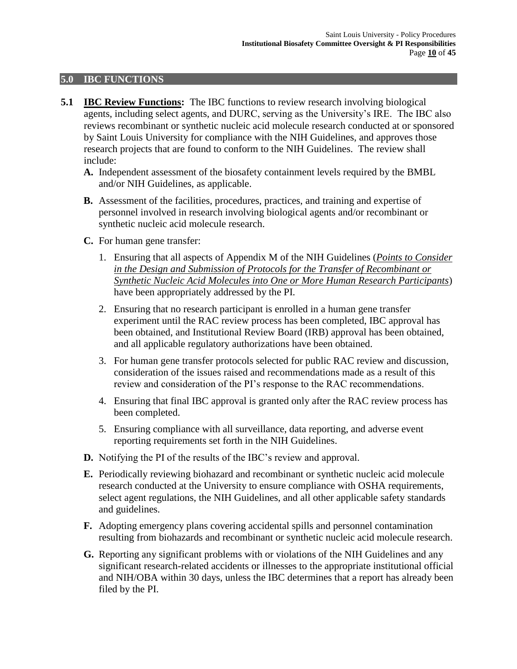#### **5.0 IBC FUNCTIONS**

- **5.1 IBC Review Functions:** The IBC functions to review research involving biological agents, including select agents, and DURC, serving as the University's IRE. The IBC also reviews recombinant or synthetic nucleic acid molecule research conducted at or sponsored by Saint Louis University for compliance with the NIH Guidelines, and approves those research projects that are found to conform to the NIH Guidelines. The review shall include:
	- **A.** Independent assessment of the biosafety containment levels required by the BMBL and/or NIH Guidelines, as applicable.
	- **B.** Assessment of the facilities, procedures, practices, and training and expertise of personnel involved in research involving biological agents and/or recombinant or synthetic nucleic acid molecule research.
	- **C.** For human gene transfer:
		- 1. Ensuring that all aspects of Appendix M of the NIH Guidelines (*Points to Consider in the Design and Submission of Protocols for the Transfer of Recombinant or Synthetic Nucleic Acid Molecules into One or More Human Research Participants*) have been appropriately addressed by the PI.
		- 2. Ensuring that no research participant is enrolled in a human gene transfer experiment until the RAC review process has been completed, IBC approval has been obtained, and Institutional Review Board (IRB) approval has been obtained, and all applicable regulatory authorizations have been obtained.
		- 3. For human gene transfer protocols selected for public RAC review and discussion, consideration of the issues raised and recommendations made as a result of this review and consideration of the PI's response to the RAC recommendations.
		- 4. Ensuring that final IBC approval is granted only after the RAC review process has been completed.
		- 5. Ensuring compliance with all surveillance, data reporting, and adverse event reporting requirements set forth in the NIH Guidelines.
	- **D.** Notifying the PI of the results of the IBC's review and approval.
	- **E.** Periodically reviewing biohazard and recombinant or synthetic nucleic acid molecule research conducted at the University to ensure compliance with OSHA requirements, select agent regulations, the NIH Guidelines, and all other applicable safety standards and guidelines.
	- **F.** Adopting emergency plans covering accidental spills and personnel contamination resulting from biohazards and recombinant or synthetic nucleic acid molecule research.
	- **G.** Reporting any significant problems with or violations of the NIH Guidelines and any significant research-related accidents or illnesses to the appropriate institutional official and NIH/OBA within 30 days, unless the IBC determines that a report has already been filed by the PI.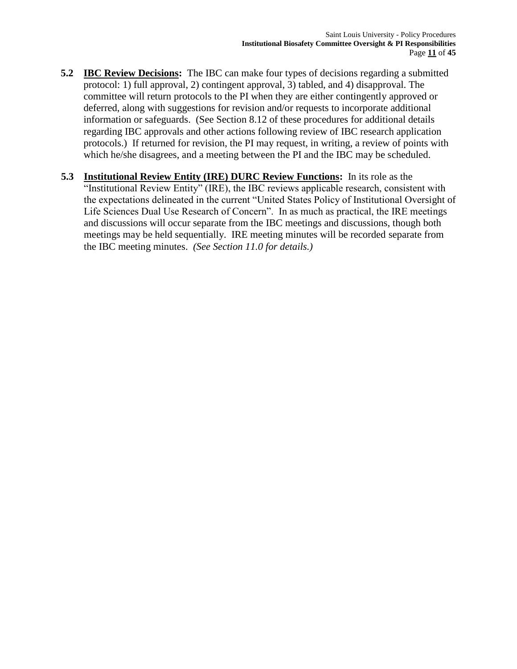- **5.2 IBC Review Decisions:** The IBC can make four types of decisions regarding a submitted protocol: 1) full approval, 2) contingent approval, 3) tabled, and 4) disapproval. The committee will return protocols to the PI when they are either contingently approved or deferred, along with suggestions for revision and/or requests to incorporate additional information or safeguards. (See Section 8.12 of these procedures for additional details regarding IBC approvals and other actions following review of IBC research application protocols.) If returned for revision, the PI may request, in writing, a review of points with which he/she disagrees, and a meeting between the PI and the IBC may be scheduled.
- **5.3 Institutional Review Entity (IRE) DURC Review Functions:** In its role as the "Institutional Review Entity" (IRE), the IBC reviews applicable research, consistent with the expectations delineated in the current "United States Policy of Institutional Oversight of Life Sciences Dual Use Research of Concern". In as much as practical, the IRE meetings and discussions will occur separate from the IBC meetings and discussions, though both meetings may be held sequentially. IRE meeting minutes will be recorded separate from the IBC meeting minutes. *(See Section 11.0 for details.)*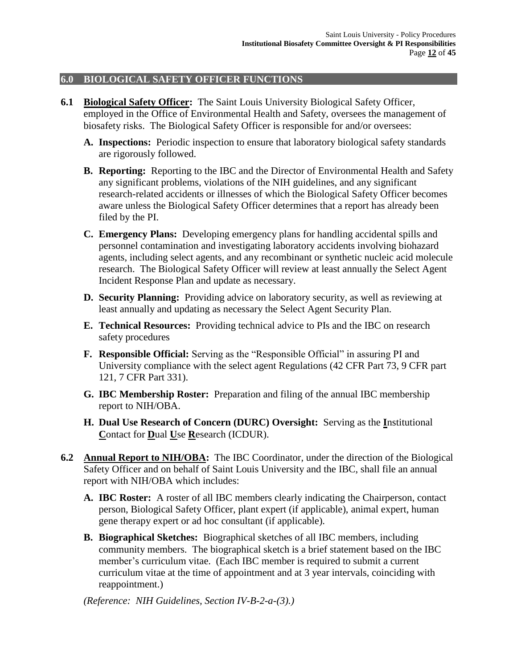## **6.0 BIOLOGICAL SAFETY OFFICER FUNCTIONS**

- **6.1 Biological Safety Officer:** The Saint Louis University Biological Safety Officer, employed in the Office of Environmental Health and Safety, oversees the management of biosafety risks. The Biological Safety Officer is responsible for and/or oversees:
	- **A. Inspections:** Periodic inspection to ensure that laboratory biological safety standards are rigorously followed.
	- **B. Reporting:** Reporting to the IBC and the Director of Environmental Health and Safety any significant problems, violations of the NIH guidelines, and any significant research-related accidents or illnesses of which the Biological Safety Officer becomes aware unless the Biological Safety Officer determines that a report has already been filed by the PI.
	- **C. Emergency Plans:** Developing emergency plans for handling accidental spills and personnel contamination and investigating laboratory accidents involving biohazard agents, including select agents, and any recombinant or synthetic nucleic acid molecule research. The Biological Safety Officer will review at least annually the Select Agent Incident Response Plan and update as necessary.
	- **D. Security Planning:** Providing advice on laboratory security, as well as reviewing at least annually and updating as necessary the Select Agent Security Plan.
	- **E. Technical Resources:** Providing technical advice to PIs and the IBC on research safety procedures
	- **F. Responsible Official:** Serving as the "Responsible Official" in assuring PI and University compliance with the select agent Regulations (42 CFR Part 73, 9 CFR part 121, 7 CFR Part 331).
	- **G. IBC Membership Roster:** Preparation and filing of the annual IBC membership report to NIH/OBA.
	- **H. Dual Use Research of Concern (DURC) Oversight:** Serving as the **I**nstitutional **C**ontact for **D**ual **U**se **R**esearch (ICDUR).
- **6.2 Annual Report to NIH/OBA:** The IBC Coordinator, under the direction of the Biological Safety Officer and on behalf of Saint Louis University and the IBC, shall file an annual report with NIH/OBA which includes:
	- **A. IBC Roster:** A roster of all IBC members clearly indicating the Chairperson, contact person, Biological Safety Officer, plant expert (if applicable), animal expert, human gene therapy expert or ad hoc consultant (if applicable).
	- **B. Biographical Sketches:** Biographical sketches of all IBC members, including community members. The biographical sketch is a brief statement based on the IBC member's curriculum vitae. (Each IBC member is required to submit a current curriculum vitae at the time of appointment and at 3 year intervals, coinciding with reappointment.)

*(Reference: NIH Guidelines, Section IV-B-2-a-(3).)*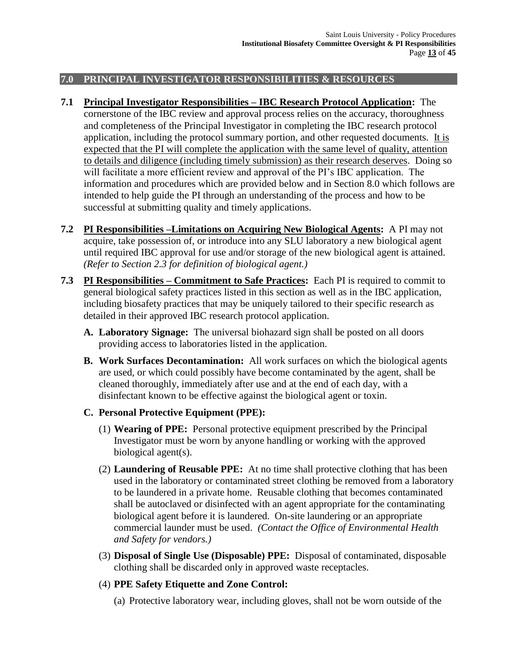## **7.0 PRINCIPAL INVESTIGATOR RESPONSIBILITIES & RESOURCES**

- **7.1 Principal Investigator Responsibilities – IBC Research Protocol Application:** The cornerstone of the IBC review and approval process relies on the accuracy, thoroughness and completeness of the Principal Investigator in completing the IBC research protocol application, including the protocol summary portion, and other requested documents. It is expected that the PI will complete the application with the same level of quality, attention to details and diligence (including timely submission) as their research deserves. Doing so will facilitate a more efficient review and approval of the PI's IBC application. The information and procedures which are provided below and in Section 8.0 which follows are intended to help guide the PI through an understanding of the process and how to be successful at submitting quality and timely applications.
- **7.2 PI Responsibilities –Limitations on Acquiring New Biological Agents:** A PI may not acquire, take possession of, or introduce into any SLU laboratory a new biological agent until required IBC approval for use and/or storage of the new biological agent is attained*. (Refer to Section 2.3 for definition of biological agent.)*
- **7.3 PI Responsibilities – Commitment to Safe Practices:** Each PI is required to commit to general biological safety practices listed in this section as well as in the IBC application, including biosafety practices that may be uniquely tailored to their specific research as detailed in their approved IBC research protocol application.
	- **A. Laboratory Signage:** The universal biohazard sign shall be posted on all doors providing access to laboratories listed in the application.
	- **B. Work Surfaces Decontamination:** All work surfaces on which the biological agents are used, or which could possibly have become contaminated by the agent, shall be cleaned thoroughly, immediately after use and at the end of each day, with a disinfectant known to be effective against the biological agent or toxin.

## **C. Personal Protective Equipment (PPE):**

- (1) **Wearing of PPE:** Personal protective equipment prescribed by the Principal Investigator must be worn by anyone handling or working with the approved biological agent(s).
- (2) **Laundering of Reusable PPE:** At no time shall protective clothing that has been used in the laboratory or contaminated street clothing be removed from a laboratory to be laundered in a private home. Reusable clothing that becomes contaminated shall be autoclaved or disinfected with an agent appropriate for the contaminating biological agent before it is laundered. On-site laundering or an appropriate commercial launder must be used. *(Contact the Office of Environmental Health and Safety for vendors.)*
- (3) **Disposal of Single Use (Disposable) PPE:** Disposal of contaminated, disposable clothing shall be discarded only in approved waste receptacles.

# (4) **PPE Safety Etiquette and Zone Control:**

(a) Protective laboratory wear, including gloves, shall not be worn outside of the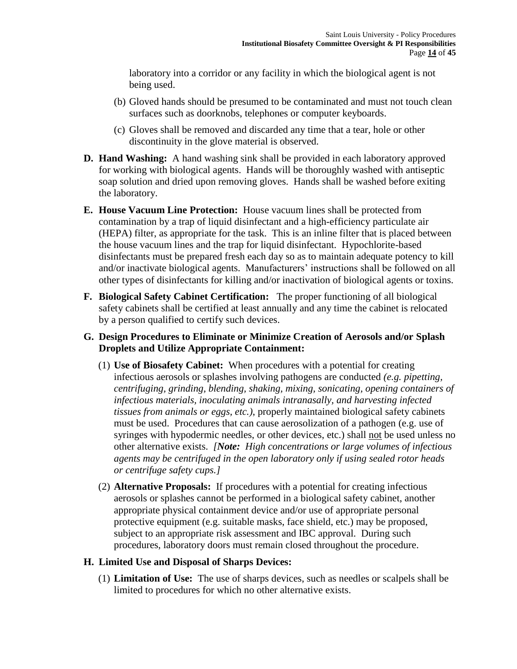laboratory into a corridor or any facility in which the biological agent is not being used.

- (b) Gloved hands should be presumed to be contaminated and must not touch clean surfaces such as doorknobs, telephones or computer keyboards.
- (c) Gloves shall be removed and discarded any time that a tear, hole or other discontinuity in the glove material is observed.
- **D. Hand Washing:** A hand washing sink shall be provided in each laboratory approved for working with biological agents. Hands will be thoroughly washed with antiseptic soap solution and dried upon removing gloves. Hands shall be washed before exiting the laboratory.
- **E. House Vacuum Line Protection:** House vacuum lines shall be protected from contamination by a trap of liquid disinfectant and a high-efficiency particulate air (HEPA) filter, as appropriate for the task. This is an inline filter that is placed between the house vacuum lines and the trap for liquid disinfectant. Hypochlorite-based disinfectants must be prepared fresh each day so as to maintain adequate potency to kill and/or inactivate biological agents. Manufacturers' instructions shall be followed on all other types of disinfectants for killing and/or inactivation of biological agents or toxins.
- **F. Biological Safety Cabinet Certification:** The proper functioning of all biological safety cabinets shall be certified at least annually and any time the cabinet is relocated by a person qualified to certify such devices.

## **G. Design Procedures to Eliminate or Minimize Creation of Aerosols and/or Splash Droplets and Utilize Appropriate Containment:**

- (1) **Use of Biosafety Cabinet:** When procedures with a potential for creating infectious aerosols or splashes involving pathogens are conducted *(e.g. pipetting, centrifuging, grinding, blending, shaking, mixing, sonicating, opening containers of infectious materials, inoculating animals intranasally, and harvesting infected tissues from animals or eggs, etc.)*, properly maintained biological safety cabinets must be used. Procedures that can cause aerosolization of a pathogen (e.g. use of syringes with hypodermic needles, or other devices, etc.) shall not be used unless no other alternative exists. *[Note: High concentrations or large volumes of infectious agents may be centrifuged in the open laboratory only if using sealed rotor heads or centrifuge safety cups.]*
- (2) **Alternative Proposals:** If procedures with a potential for creating infectious aerosols or splashes cannot be performed in a biological safety cabinet, another appropriate physical containment device and/or use of appropriate personal protective equipment (e.g. suitable masks, face shield, etc.) may be proposed, subject to an appropriate risk assessment and IBC approval. During such procedures, laboratory doors must remain closed throughout the procedure.

## **H. Limited Use and Disposal of Sharps Devices:**

(1) **Limitation of Use:** The use of sharps devices, such as needles or scalpels shall be limited to procedures for which no other alternative exists.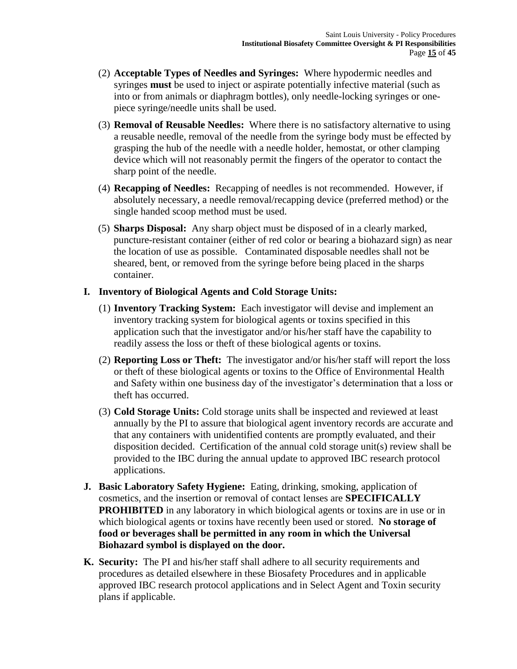- (2) **Acceptable Types of Needles and Syringes:** Where hypodermic needles and syringes **must** be used to inject or aspirate potentially infective material (such as into or from animals or diaphragm bottles), only needle-locking syringes or onepiece syringe/needle units shall be used.
- (3) **Removal of Reusable Needles:** Where there is no satisfactory alternative to using a reusable needle, removal of the needle from the syringe body must be effected by grasping the hub of the needle with a needle holder, hemostat, or other clamping device which will not reasonably permit the fingers of the operator to contact the sharp point of the needle.
- (4) **Recapping of Needles:** Recapping of needles is not recommended. However, if absolutely necessary, a needle removal/recapping device (preferred method) or the single handed scoop method must be used.
- (5) **Sharps Disposal:** Any sharp object must be disposed of in a clearly marked, puncture-resistant container (either of red color or bearing a biohazard sign) as near the location of use as possible. Contaminated disposable needles shall not be sheared, bent, or removed from the syringe before being placed in the sharps container.

#### **I. Inventory of Biological Agents and Cold Storage Units:**

- (1) **Inventory Tracking System:** Each investigator will devise and implement an inventory tracking system for biological agents or toxins specified in this application such that the investigator and/or his/her staff have the capability to readily assess the loss or theft of these biological agents or toxins.
- (2) **Reporting Loss or Theft:** The investigator and/or his/her staff will report the loss or theft of these biological agents or toxins to the Office of Environmental Health and Safety within one business day of the investigator's determination that a loss or theft has occurred.
- (3) **Cold Storage Units:** Cold storage units shall be inspected and reviewed at least annually by the PI to assure that biological agent inventory records are accurate and that any containers with unidentified contents are promptly evaluated, and their disposition decided. Certification of the annual cold storage unit(s) review shall be provided to the IBC during the annual update to approved IBC research protocol applications.
- **J. Basic Laboratory Safety Hygiene:** Eating, drinking, smoking, application of cosmetics, and the insertion or removal of contact lenses are **SPECIFICALLY PROHIBITED** in any laboratory in which biological agents or toxins are in use or in which biological agents or toxins have recently been used or stored. **No storage of food or beverages shall be permitted in any room in which the Universal Biohazard symbol is displayed on the door.**
- **K. Security:** The PI and his/her staff shall adhere to all security requirements and procedures as detailed elsewhere in these Biosafety Procedures and in applicable approved IBC research protocol applications and in Select Agent and Toxin security plans if applicable.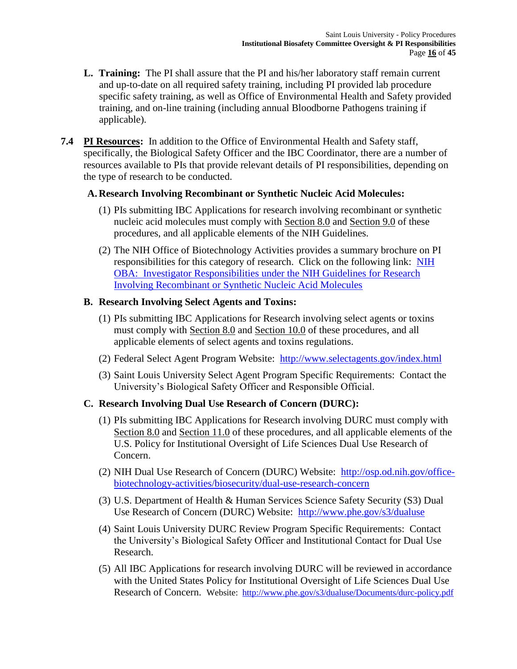- **L. Training:** The PI shall assure that the PI and his/her laboratory staff remain current and up-to-date on all required safety training, including PI provided lab procedure specific safety training, as well as Office of Environmental Health and Safety provided training, and on-line training (including annual Bloodborne Pathogens training if applicable).
- **7.4 PI Resources:** In addition to the Office of Environmental Health and Safety staff, specifically, the Biological Safety Officer and the IBC Coordinator, there are a number of resources available to PIs that provide relevant details of PI responsibilities, depending on the type of research to be conducted.

## **A. Research Involving Recombinant or Synthetic Nucleic Acid Molecules:**

- (1) PIs submitting IBC Applications for research involving recombinant or synthetic nucleic acid molecules must comply with Section 8.0 and Section 9.0 of these procedures, and all applicable elements of the NIH Guidelines.
- (2) The NIH Office of Biotechnology Activities provides a summary brochure on PI responsibilities for this category of research. Click on the following link: [NIH](http://osp.od.nih.gov/sites/default/files/resources/InvestigatorEducationalBrochureRecombinant%20DNA_0.pdf)  [OBA: Investigator Responsibilities under the NIH Guidelines for Research](http://osp.od.nih.gov/sites/default/files/resources/InvestigatorEducationalBrochureRecombinant%20DNA_0.pdf)  [Involving Recombinant or Synthetic Nucleic Acid Molecules](http://osp.od.nih.gov/sites/default/files/resources/InvestigatorEducationalBrochureRecombinant%20DNA_0.pdf)

## **B. Research Involving Select Agents and Toxins:**

- (1) PIs submitting IBC Applications for Research involving select agents or toxins must comply with Section 8.0 and Section 10.0 of these procedures, and all applicable elements of select agents and toxins regulations.
- (2) Federal Select Agent Program Website: <http://www.selectagents.gov/index.html>
- (3) Saint Louis University Select Agent Program Specific Requirements: Contact the University's Biological Safety Officer and Responsible Official.

# **C. Research Involving Dual Use Research of Concern (DURC):**

- (1) PIs submitting IBC Applications for Research involving DURC must comply with Section 8.0 and Section 11.0 of these procedures, and all applicable elements of the U.S. Policy for Institutional Oversight of Life Sciences Dual Use Research of Concern.
- (2) NIH Dual Use Research of Concern (DURC) Website: [http://osp.od.nih.gov/office](http://osp.od.nih.gov/office-biotechnology-activities/biosecurity/dual-use-research-concern)[biotechnology-activities/biosecurity/dual-use-research-concern](http://osp.od.nih.gov/office-biotechnology-activities/biosecurity/dual-use-research-concern)
- (3) U.S. Department of Health & Human Services Science Safety Security (S3) Dual Use Research of Concern (DURC) Website: <http://www.phe.gov/s3/dualuse>
- (4) Saint Louis University DURC Review Program Specific Requirements: Contact the University's Biological Safety Officer and Institutional Contact for Dual Use Research.
- (5) All IBC Applications for research involving DURC will be reviewed in accordance with the United States Policy for Institutional Oversight of Life Sciences Dual Use Research of Concern. Website: <http://www.phe.gov/s3/dualuse/Documents/durc-policy.pdf>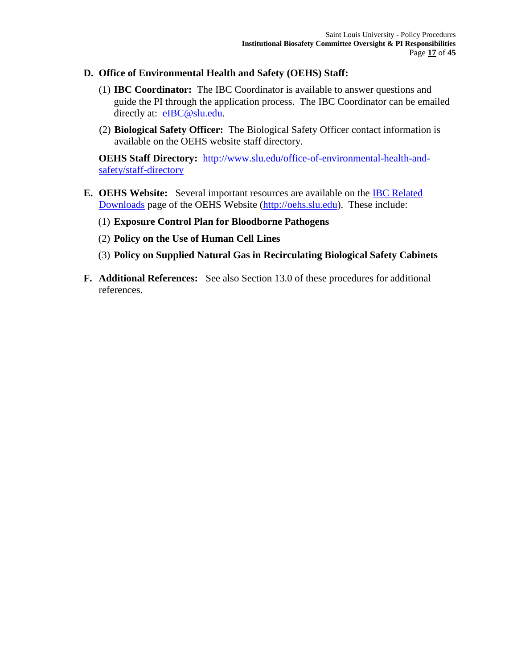### **D. Office of Environmental Health and Safety (OEHS) Staff:**

- (1) **IBC Coordinator:** The IBC Coordinator is available to answer questions and guide the PI through the application process. The IBC Coordinator can be emailed directly at: [eIBC@slu.edu.](mailto:eIBC@slu.edu)
- (2) **Biological Safety Officer:** The Biological Safety Officer contact information is available on the OEHS website staff directory.

**OEHS Staff Directory:** [http://www.slu.edu/office-of-environmental-health-and](http://www.slu.edu/office-of-environmental-health-and-safety/staff-directory)[safety/staff-directory](http://www.slu.edu/office-of-environmental-health-and-safety/staff-directory)

- **E. OEHS Website:** Several important resources are available on the [IBC Related](http://www.slu.edu/office-of-environmental-health-and-safety/institutional-biosafety-committee-(ibc)/ibc-related-downloads)  [Downloads](http://www.slu.edu/office-of-environmental-health-and-safety/institutional-biosafety-committee-(ibc)/ibc-related-downloads) page of the OEHS Website [\(http://oehs.slu.edu\)](http://oehs.slu.edu/). These include:
	- (1) **Exposure Control Plan for Bloodborne Pathogens**
	- (2) **Policy on the Use of Human Cell Lines**
	- (3) **Policy on Supplied Natural Gas in Recirculating Biological Safety Cabinets**
- **F. Additional References:** See also Section 13.0 of these procedures for additional references.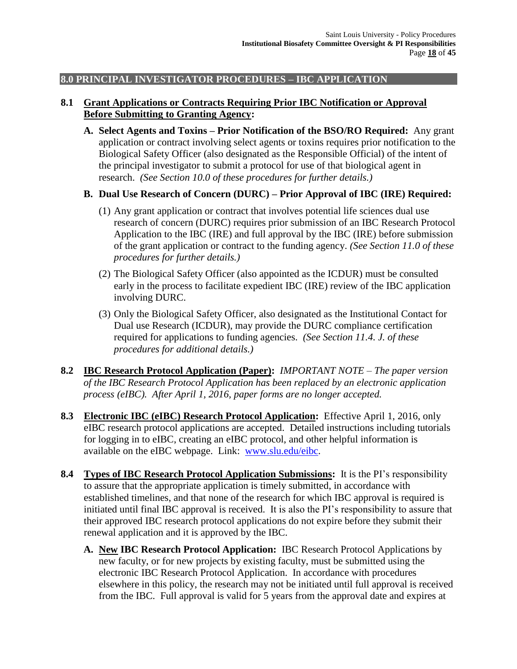## **8.0 PRINCIPAL INVESTIGATOR PROCEDURES – IBC APPLICATION**

## **8.1 Grant Applications or Contracts Requiring Prior IBC Notification or Approval Before Submitting to Granting Agency:**

**A. Select Agents and Toxins – Prior Notification of the BSO/RO Required:** Any grant application or contract involving select agents or toxins requires prior notification to the Biological Safety Officer (also designated as the Responsible Official) of the intent of the principal investigator to submit a protocol for use of that biological agent in research. *(See Section 10.0 of these procedures for further details.)*

## **B. Dual Use Research of Concern (DURC) – Prior Approval of IBC (IRE) Required:**

- (1) Any grant application or contract that involves potential life sciences dual use research of concern (DURC) requires prior submission of an IBC Research Protocol Application to the IBC (IRE) and full approval by the IBC (IRE) before submission of the grant application or contract to the funding agency. *(See Section 11.0 of these procedures for further details.)*
- (2) The Biological Safety Officer (also appointed as the ICDUR) must be consulted early in the process to facilitate expedient IBC (IRE) review of the IBC application involving DURC.
- (3) Only the Biological Safety Officer, also designated as the Institutional Contact for Dual use Research (ICDUR), may provide the DURC compliance certification required for applications to funding agencies. *(See Section 11.4. J. of these procedures for additional details.)*
- **8.2 IBC Research Protocol Application (Paper):** *IMPORTANT NOTE – The paper version of the IBC Research Protocol Application has been replaced by an electronic application process (eIBC). After April 1, 2016, paper forms are no longer accepted.*
- **8.3 Electronic IBC (eIBC) Research Protocol Application:** Effective April 1, 2016, only eIBC research protocol applications are accepted.Detailed instructions including tutorials for logging in to eIBC, creating an eIBC protocol, and other helpful information is available on the eIBC webpage. Link: [www.slu.edu/eibc.](http://www.slu.edu/eibc)
- **8.4 Types of IBC Research Protocol Application Submissions:** It is the PI's responsibility to assure that the appropriate application is timely submitted, in accordance with established timelines, and that none of the research for which IBC approval is required is initiated until final IBC approval is received. It is also the PI's responsibility to assure that their approved IBC research protocol applications do not expire before they submit their renewal application and it is approved by the IBC.
	- **A. New IBC Research Protocol Application:** IBC Research Protocol Applications by new faculty, or for new projects by existing faculty, must be submitted using the electronic IBC Research Protocol Application. In accordance with procedures elsewhere in this policy, the research may not be initiated until full approval is received from the IBC. Full approval is valid for 5 years from the approval date and expires at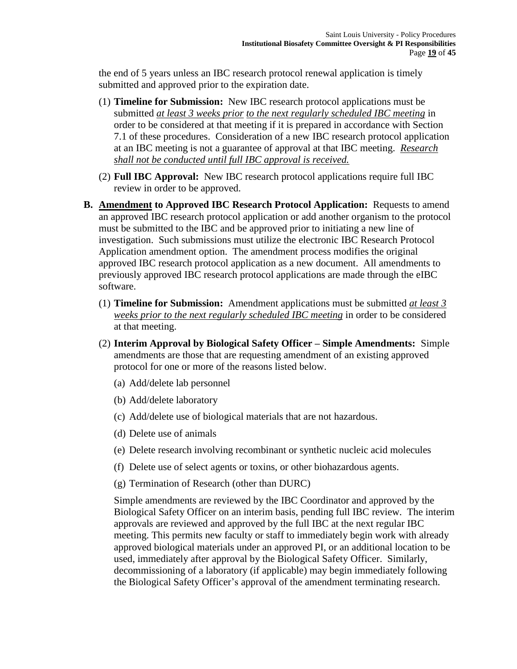the end of 5 years unless an IBC research protocol renewal application is timely submitted and approved prior to the expiration date.

- (1) **Timeline for Submission:** New IBC research protocol applications must be submitted *at least 3 weeks prior to the next regularly scheduled IBC meeting* in order to be considered at that meeting if it is prepared in accordance with Section 7.1 of these procedures. Consideration of a new IBC research protocol application at an IBC meeting is not a guarantee of approval at that IBC meeting. *Research shall not be conducted until full IBC approval is received.*
- (2) **Full IBC Approval:** New IBC research protocol applications require full IBC review in order to be approved.
- **B. Amendment to Approved IBC Research Protocol Application:** Requests to amend an approved IBC research protocol application or add another organism to the protocol must be submitted to the IBC and be approved prior to initiating a new line of investigation. Such submissions must utilize the electronic IBC Research Protocol Application amendment option. The amendment process modifies the original approved IBC research protocol application as a new document. All amendments to previously approved IBC research protocol applications are made through the eIBC software.
	- (1) **Timeline for Submission:** Amendment applications must be submitted *at least 3 weeks prior to the next regularly scheduled IBC meeting* in order to be considered at that meeting.
	- (2) **Interim Approval by Biological Safety Officer – Simple Amendments:** Simple amendments are those that are requesting amendment of an existing approved protocol for one or more of the reasons listed below.
		- (a) Add/delete lab personnel
		- (b) Add/delete laboratory
		- (c) Add/delete use of biological materials that are not hazardous.
		- (d) Delete use of animals
		- (e) Delete research involving recombinant or synthetic nucleic acid molecules
		- (f) Delete use of select agents or toxins, or other biohazardous agents.
		- (g) Termination of Research (other than DURC)

Simple amendments are reviewed by the IBC Coordinator and approved by the Biological Safety Officer on an interim basis, pending full IBC review. The interim approvals are reviewed and approved by the full IBC at the next regular IBC meeting. This permits new faculty or staff to immediately begin work with already approved biological materials under an approved PI, or an additional location to be used, immediately after approval by the Biological Safety Officer. Similarly, decommissioning of a laboratory (if applicable) may begin immediately following the Biological Safety Officer's approval of the amendment terminating research.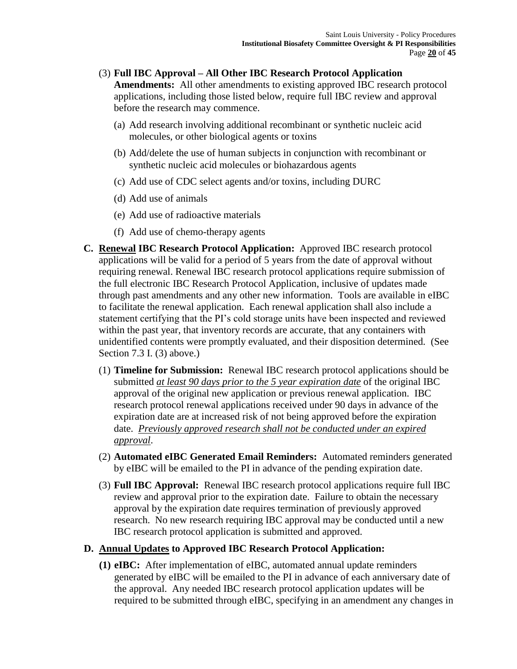#### (3) **Full IBC Approval – All Other IBC Research Protocol Application Amendments:** All other amendments to existing approved IBC research protocol applications, including those listed below, require full IBC review and approval

before the research may commence.

- (a) Add research involving additional recombinant or synthetic nucleic acid molecules, or other biological agents or toxins
- (b) Add/delete the use of human subjects in conjunction with recombinant or synthetic nucleic acid molecules or biohazardous agents
- (c) Add use of CDC select agents and/or toxins, including DURC
- (d) Add use of animals
- (e) Add use of radioactive materials
- (f) Add use of chemo-therapy agents
- **C. Renewal IBC Research Protocol Application:** Approved IBC research protocol applications will be valid for a period of 5 years from the date of approval without requiring renewal. Renewal IBC research protocol applications require submission of the full electronic IBC Research Protocol Application, inclusive of updates made through past amendments and any other new information. Tools are available in eIBC to facilitate the renewal application. Each renewal application shall also include a statement certifying that the PI's cold storage units have been inspected and reviewed within the past year, that inventory records are accurate, that any containers with unidentified contents were promptly evaluated, and their disposition determined*.* (See Section 7.3 I. (3) above.)
	- (1) **Timeline for Submission:** Renewal IBC research protocol applications should be submitted *at least 90 days prior to the 5 year expiration date* of the original IBC approval of the original new application or previous renewal application. IBC research protocol renewal applications received under 90 days in advance of the expiration date are at increased risk of not being approved before the expiration date. *Previously approved research shall not be conducted under an expired approval*.
	- (2) **Automated eIBC Generated Email Reminders:** Automated reminders generated by eIBC will be emailed to the PI in advance of the pending expiration date.
	- (3) **Full IBC Approval:** Renewal IBC research protocol applications require full IBC review and approval prior to the expiration date. Failure to obtain the necessary approval by the expiration date requires termination of previously approved research. No new research requiring IBC approval may be conducted until a new IBC research protocol application is submitted and approved.

## **D. Annual Updates to Approved IBC Research Protocol Application:**

**(1) eIBC:** After implementation of eIBC, automated annual update reminders generated by eIBC will be emailed to the PI in advance of each anniversary date of the approval. Any needed IBC research protocol application updates will be required to be submitted through eIBC, specifying in an amendment any changes in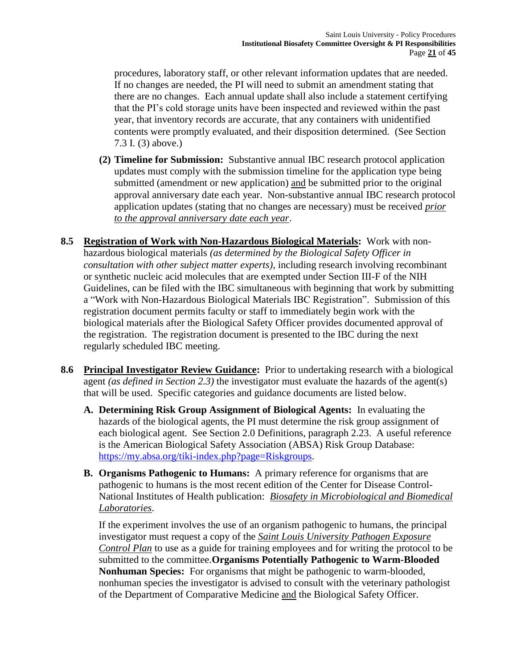procedures, laboratory staff, or other relevant information updates that are needed. If no changes are needed, the PI will need to submit an amendment stating that there are no changes. Each annual update shall also include a statement certifying that the PI's cold storage units have been inspected and reviewed within the past year, that inventory records are accurate, that any containers with unidentified contents were promptly evaluated, and their disposition determined*.* (See Section 7.3 I. (3) above.)

- **(2) Timeline for Submission:** Substantive annual IBC research protocol application updates must comply with the submission timeline for the application type being submitted (amendment or new application) and be submitted prior to the original approval anniversary date each year. Non-substantive annual IBC research protocol application updates (stating that no changes are necessary) must be received *prior to the approval anniversary date each year*.
- **8.5 Registration of Work with Non-Hazardous Biological Materials:** Work with nonhazardous biological materials *(as determined by the Biological Safety Officer in consultation with other subject matter experts)*, including research involving recombinant or synthetic nucleic acid molecules that are exempted under Section III-F of the NIH Guidelines, can be filed with the IBC simultaneous with beginning that work by submitting a "Work with Non-Hazardous Biological Materials IBC Registration". Submission of this registration document permits faculty or staff to immediately begin work with the biological materials after the Biological Safety Officer provides documented approval of the registration. The registration document is presented to the IBC during the next regularly scheduled IBC meeting.
- **8.6 Principal Investigator Review Guidance:** Prior to undertaking research with a biological agent *(as defined in Section 2.3)* the investigator must evaluate the hazards of the agent(s) that will be used. Specific categories and guidance documents are listed below.
	- **A. Determining Risk Group Assignment of Biological Agents:** In evaluating the hazards of the biological agents, the PI must determine the risk group assignment of each biological agent. See Section 2.0 Definitions, paragraph 2.23. A useful reference is the American Biological Safety Association (ABSA) Risk Group Database: [https://my.absa.org/tiki-index.php?page=Riskgroups.](https://my.absa.org/tiki-index.php?page=Riskgroups)
	- **B. Organisms Pathogenic to Humans:** A primary reference for organisms that are pathogenic to humans is the most recent edition of the Center for Disease Control-National Institutes of Health publication: *Biosafety in Microbiological and Biomedical Laboratories*.

If the experiment involves the use of an organism pathogenic to humans, the principal investigator must request a copy of the *Saint Louis University Pathogen Exposure Control Plan* to use as a guide for training employees and for writing the protocol to be submitted to the committee.**Organisms Potentially Pathogenic to Warm-Blooded Nonhuman Species:** For organisms that might be pathogenic to warm-blooded, nonhuman species the investigator is advised to consult with the veterinary pathologist of the Department of Comparative Medicine and the Biological Safety Officer.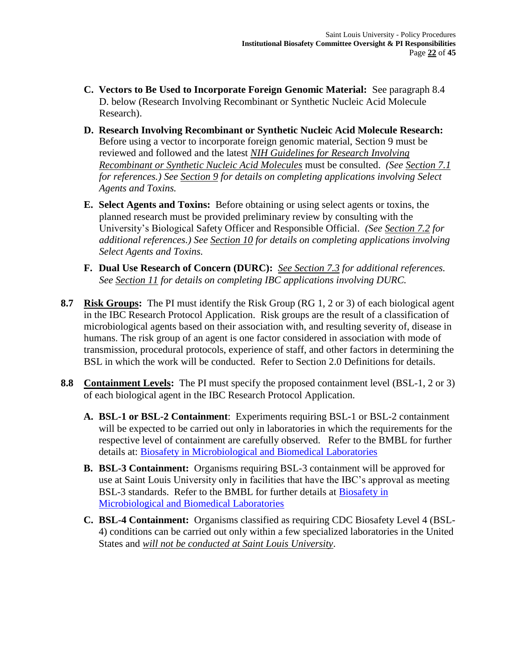- **C. Vectors to Be Used to Incorporate Foreign Genomic Material:** See paragraph 8.4 D. below (Research Involving Recombinant or Synthetic Nucleic Acid Molecule Research).
- **D. Research Involving Recombinant or Synthetic Nucleic Acid Molecule Research:** Before using a vector to incorporate foreign genomic material, Section 9 must be reviewed and followed and the latest *NIH Guidelines for Research Involving Recombinant or Synthetic Nucleic Acid Molecules* must be consulted. *(See Section 7.1 for references.) See Section 9 for details on completing applications involving Select Agents and Toxins.*
- **E. Select Agents and Toxins:** Before obtaining or using select agents or toxins, the planned research must be provided preliminary review by consulting with the University's Biological Safety Officer and Responsible Official. *(See Section 7.2 for additional references.) See Section 10 for details on completing applications involving Select Agents and Toxins.*
- **F. Dual Use Research of Concern (DURC):** *See Section 7.3 for additional references. See Section 11 for details on completing IBC applications involving DURC.*
- **8.7 Risk Groups:** The PI must identify the Risk Group (RG 1, 2 or 3) of each biological agent in the IBC Research Protocol Application. Risk groups are the result of a classification of microbiological agents based on their association with, and resulting severity of, disease in humans. The risk group of an agent is one factor considered in association with mode of transmission, procedural protocols, experience of staff, and other factors in determining the BSL in which the work will be conducted. Refer to Section 2.0 Definitions for details.
- **8.8 Containment Levels:** The PI must specify the proposed containment level (BSL-1, 2 or 3) of each biological agent in the IBC Research Protocol Application.
	- **A. BSL-1 or BSL-2 Containment**: Experiments requiring BSL-1 or BSL-2 containment will be expected to be carried out only in laboratories in which the requirements for the respective level of containment are carefully observed. Refer to the BMBL for further details at: [Biosafety in Microbiological and Biomedical Laboratories](http://www.cdc.gov/biosafety/publications/bmbl5/)
	- **B. BSL-3 Containment:** Organisms requiring BSL-3 containment will be approved for use at Saint Louis University only in facilities that have the IBC's approval as meeting BSL-3 standards. Refer to the BMBL for further details at [Biosafety in](http://www.cdc.gov/biosafety/publications/bmbl5/)  [Microbiological and Biomedical Laboratories](http://www.cdc.gov/biosafety/publications/bmbl5/)
	- **C. BSL-4 Containment:** Organisms classified as requiring CDC Biosafety Level 4 (BSL-4) conditions can be carried out only within a few specialized laboratories in the United States and *will not be conducted at Saint Louis University*.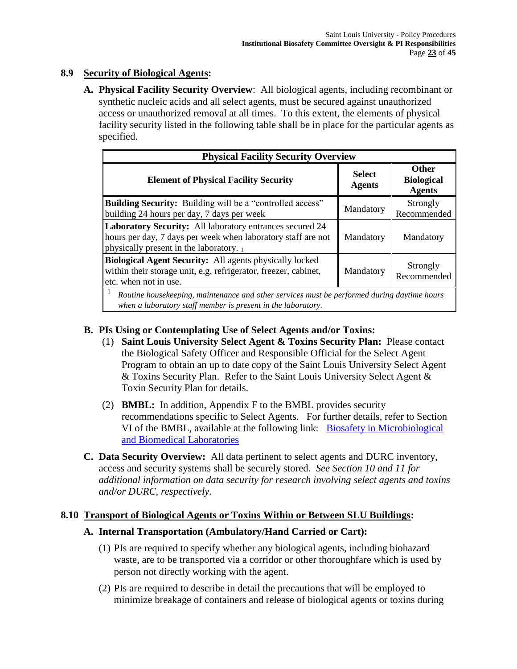# **8.9 Security of Biological Agents:**

**A. Physical Facility Security Overview**: All biological agents, including recombinant or synthetic nucleic acids and all select agents, must be secured against unauthorized access or unauthorized removal at all times. To this extent, the elements of physical facility security listed in the following table shall be in place for the particular agents as specified.

| <b>Physical Facility Security Overview</b>                                                                                                                          |                                |                                                    |  |  |
|---------------------------------------------------------------------------------------------------------------------------------------------------------------------|--------------------------------|----------------------------------------------------|--|--|
| <b>Element of Physical Facility Security</b>                                                                                                                        | <b>Select</b><br><b>Agents</b> | <b>Other</b><br><b>Biological</b><br><b>Agents</b> |  |  |
| <b>Building Security:</b> Building will be a "controlled access"<br>building 24 hours per day, 7 days per week                                                      | Mandatory                      | Strongly<br>Recommended                            |  |  |
| Laboratory Security: All laboratory entrances secured 24<br>hours per day, 7 days per week when laboratory staff are not<br>physically present in the laboratory. 1 | Mandatory                      | Mandatory                                          |  |  |
| Biological Agent Security: All agents physically locked<br>within their storage unit, e.g. refrigerator, freezer, cabinet,<br>etc. when not in use.                 | Mandatory                      | Strongly<br>Recommended                            |  |  |
| Routine housekeeping, maintenance and other services must be performed during daytime hours                                                                         |                                |                                                    |  |  |

*when a laboratory staff member is present in the laboratory.*

## **B. PIs Using or Contemplating Use of Select Agents and/or Toxins:**

- (1) **Saint Louis University Select Agent & Toxins Security Plan:** Please contact the Biological Safety Officer and Responsible Official for the Select Agent Program to obtain an up to date copy of the Saint Louis University Select Agent & Toxins Security Plan. Refer to the Saint Louis University Select Agent & Toxin Security Plan for details.
- (2) **BMBL:** In addition, Appendix F to the BMBL provides security recommendations specific to Select Agents. For further details, refer to Section VI of the BMBL, available at the following link: [Biosafety in Microbiological](http://www.cdc.gov/biosafety/publications/bmbl5/)  [and Biomedical Laboratories](http://www.cdc.gov/biosafety/publications/bmbl5/)
- **C. Data Security Overview:** All data pertinent to select agents and DURC inventory, access and security systems shall be securely stored. *See Section 10 and 11 for additional information on data security for research involving select agents and toxins and/or DURC, respectively.*

## **8.10 Transport of Biological Agents or Toxins Within or Between SLU Buildings:**

## **A. Internal Transportation (Ambulatory/Hand Carried or Cart):**

- (1) PIs are required to specify whether any biological agents, including biohazard waste, are to be transported via a corridor or other thoroughfare which is used by person not directly working with the agent.
- (2) PIs are required to describe in detail the precautions that will be employed to minimize breakage of containers and release of biological agents or toxins during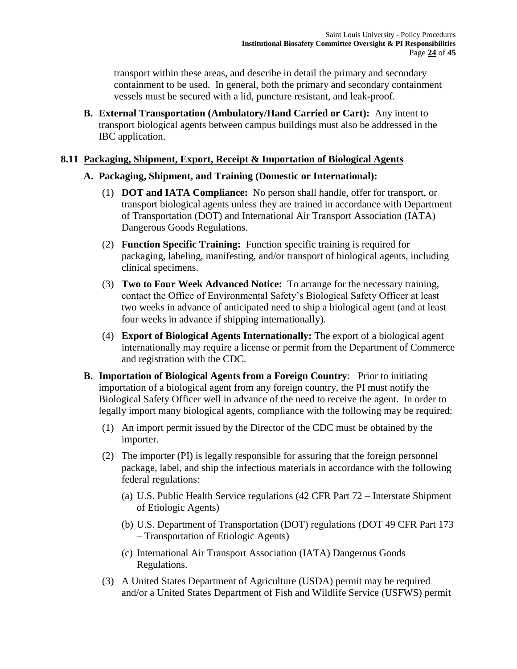transport within these areas, and describe in detail the primary and secondary containment to be used. In general, both the primary and secondary containment vessels must be secured with a lid, puncture resistant, and leak**-**proof.

**B. External Transportation (Ambulatory/Hand Carried or Cart):** Any intent to transport biological agents between campus buildings must also be addressed in the IBC application.

#### **8.11 Packaging, Shipment, Export, Receipt & Importation of Biological Agents**

## **A. Packaging, Shipment, and Training (Domestic or International):**

- (1) **DOT and IATA Compliance:** No person shall handle, offer for transport, or transport biological agents unless they are trained in accordance with Department of Transportation (DOT) and International Air Transport Association (IATA) Dangerous Goods Regulations.
- (2) **Function Specific Training:** Function specific training is required for packaging, labeling, manifesting, and/or transport of biological agents, including clinical specimens.
- (3) **Two to Four Week Advanced Notice:** To arrange for the necessary training, contact the Office of Environmental Safety's Biological Safety Officer at least two weeks in advance of anticipated need to ship a biological agent (and at least four weeks in advance if shipping internationally).
- (4) **Export of Biological Agents Internationally:** The export of a biological agent internationally may require a license or permit from the Department of Commerce and registration with the CDC.
- **B. Importation of Biological Agents from a Foreign Country**: Prior to initiating importation of a biological agent from any foreign country, the PI must notify the Biological Safety Officer well in advance of the need to receive the agent. In order to legally import many biological agents, compliance with the following may be required:
	- (1) An import permit issued by the Director of the CDC must be obtained by the importer.
	- (2) The importer (PI) is legally responsible for assuring that the foreign personnel package, label, and ship the infectious materials in accordance with the following federal regulations:
		- (a) U.S. Public Health Service regulations (42 CFR Part 72 Interstate Shipment of Etiologic Agents)
		- (b) U.S. Department of Transportation (DOT) regulations (DOT 49 CFR Part 173 – Transportation of Etiologic Agents)
		- (c) International Air Transport Association (IATA) Dangerous Goods Regulations.
	- (3) A United States Department of Agriculture (USDA) permit may be required and/or a United States Department of Fish and Wildlife Service (USFWS) permit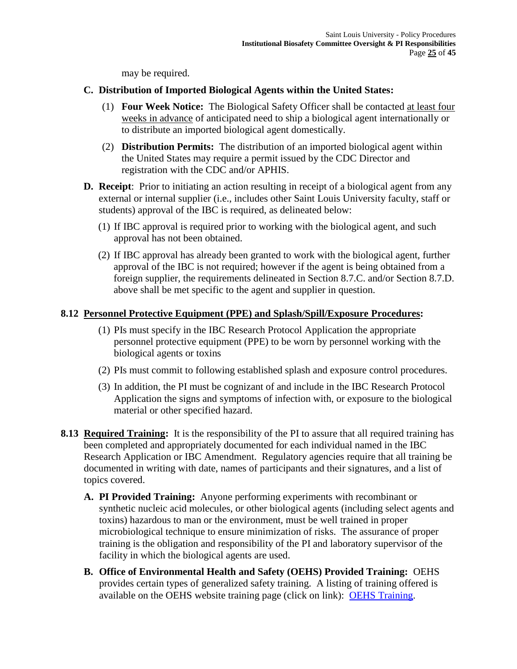may be required.

## **C. Distribution of Imported Biological Agents within the United States:**

- (1) **Four Week Notice:** The Biological Safety Officer shall be contacted at least four weeks in advance of anticipated need to ship a biological agent internationally or to distribute an imported biological agent domestically.
- (2) **Distribution Permits:** The distribution of an imported biological agent within the United States may require a permit issued by the CDC Director and registration with the CDC and/or APHIS.
- **D. Receipt**: Prior to initiating an action resulting in receipt of a biological agent from any external or internal supplier (i.e., includes other Saint Louis University faculty, staff or students) approval of the IBC is required, as delineated below:
	- (1) If IBC approval is required prior to working with the biological agent, and such approval has not been obtained.
	- (2) If IBC approval has already been granted to work with the biological agent, further approval of the IBC is not required; however if the agent is being obtained from a foreign supplier, the requirements delineated in Section 8.7.C. and/or Section 8.7.D. above shall be met specific to the agent and supplier in question.

## **8.12 Personnel Protective Equipment (PPE) and Splash/Spill/Exposure Procedures:**

- (1) PIs must specify in the IBC Research Protocol Application the appropriate personnel protective equipment (PPE) to be worn by personnel working with the biological agents or toxins
- (2) PIs must commit to following established splash and exposure control procedures.
- (3) In addition, the PI must be cognizant of and include in the IBC Research Protocol Application the signs and symptoms of infection with, or exposure to the biological material or other specified hazard.
- **8.13 Required Training:** It is the responsibility of the PI to assure that all required training has been completed and appropriately documented for each individual named in the IBC Research Application or IBC Amendment. Regulatory agencies require that all training be documented in writing with date, names of participants and their signatures, and a list of topics covered.
	- **A. PI Provided Training:** Anyone performing experiments with recombinant or synthetic nucleic acid molecules, or other biological agents (including select agents and toxins) hazardous to man or the environment, must be well trained in proper microbiological technique to ensure minimization of risks. The assurance of proper training is the obligation and responsibility of the PI and laboratory supervisor of the facility in which the biological agents are used.
	- **B. Office of Environmental Health and Safety (OEHS) Provided Training:** OEHS provides certain types of generalized safety training. A listing of training offered is available on the OEHS website training page (click on link): [OEHS Training.](http://www.slu.edu/office-of-environmental-health-and-safety/training)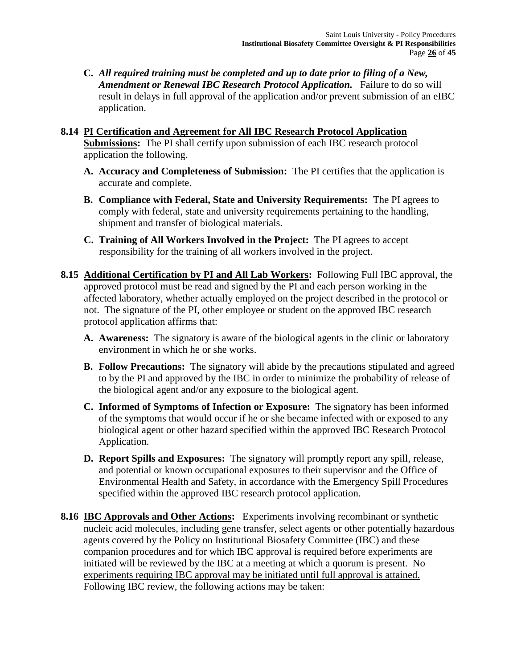**C.** *All required training must be completed and up to date prior to filing of a New, Amendment or Renewal IBC Research Protocol Application.* Failure to do so will result in delays in full approval of the application and/or prevent submission of an eIBC application.

#### **8.14 PI Certification and Agreement for All IBC Research Protocol Application Submissions:** The PI shall certify upon submission of each IBC research protocol application the following.

- **A. Accuracy and Completeness of Submission:** The PI certifies that the application is accurate and complete.
- **B. Compliance with Federal, State and University Requirements:** The PI agrees to comply with federal, state and university requirements pertaining to the handling, shipment and transfer of biological materials.
- **C. Training of All Workers Involved in the Project:** The PI agrees to accept responsibility for the training of all workers involved in the project.
- **8.15 Additional Certification by PI and All Lab Workers:** Following Full IBC approval, the approved protocol must be read and signed by the PI and each person working in the affected laboratory, whether actually employed on the project described in the protocol or not. The signature of the PI, other employee or student on the approved IBC research protocol application affirms that:
	- **A. Awareness:** The signatory is aware of the biological agents in the clinic or laboratory environment in which he or she works.
	- **B. Follow Precautions:** The signatory will abide by the precautions stipulated and agreed to by the PI and approved by the IBC in order to minimize the probability of release of the biological agent and/or any exposure to the biological agent.
	- **C. Informed of Symptoms of Infection or Exposure:** The signatory has been informed of the symptoms that would occur if he or she became infected with or exposed to any biological agent or other hazard specified within the approved IBC Research Protocol Application.
	- **D. Report Spills and Exposures:** The signatory will promptly report any spill, release, and potential or known occupational exposures to their supervisor and the Office of Environmental Health and Safety, in accordance with the Emergency Spill Procedures specified within the approved IBC research protocol application.
- **8.16 IBC Approvals and Other Actions:** Experiments involving recombinant or synthetic nucleic acid molecules, including gene transfer, select agents or other potentially hazardous agents covered by the Policy on Institutional Biosafety Committee (IBC) and these companion procedures and for which IBC approval is required before experiments are initiated will be reviewed by the IBC at a meeting at which a quorum is present. No experiments requiring IBC approval may be initiated until full approval is attained. Following IBC review, the following actions may be taken: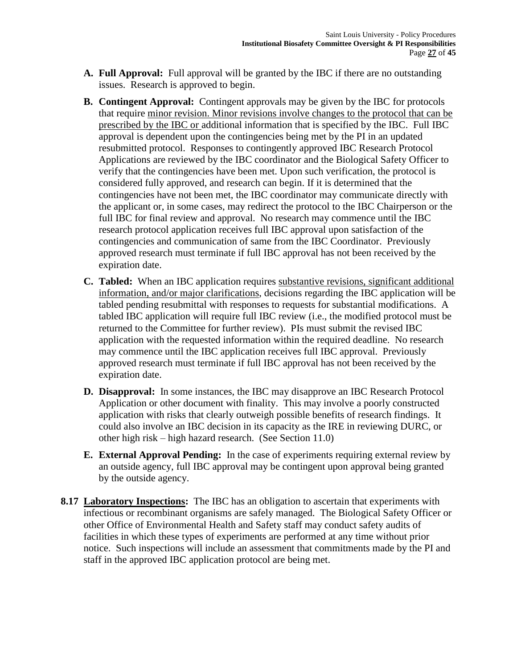- **A. Full Approval:** Full approval will be granted by the IBC if there are no outstanding issues. Research is approved to begin.
- **B. Contingent Approval:** Contingent approvals may be given by the IBC for protocols that require minor revision. Minor revisions involve changes to the protocol that can be prescribed by the IBC or additional information that is specified by the IBC. Full IBC approval is dependent upon the contingencies being met by the PI in an updated resubmitted protocol. Responses to contingently approved IBC Research Protocol Applications are reviewed by the IBC coordinator and the Biological Safety Officer to verify that the contingencies have been met. Upon such verification, the protocol is considered fully approved, and research can begin. If it is determined that the contingencies have not been met, the IBC coordinator may communicate directly with the applicant or, in some cases, may redirect the protocol to the IBC Chairperson or the full IBC for final review and approval. No research may commence until the IBC research protocol application receives full IBC approval upon satisfaction of the contingencies and communication of same from the IBC Coordinator. Previously approved research must terminate if full IBC approval has not been received by the expiration date.
- **C. Tabled:** When an IBC application requires substantive revisions, significant additional information, and/or major clarifications, decisions regarding the IBC application will be tabled pending resubmittal with responses to requests for substantial modifications. A tabled IBC application will require full IBC review (i.e., the modified protocol must be returned to the Committee for further review). PIs must submit the revised IBC application with the requested information within the required deadline. No research may commence until the IBC application receives full IBC approval. Previously approved research must terminate if full IBC approval has not been received by the expiration date.
- **D. Disapproval:** In some instances, the IBC may disapprove an IBC Research Protocol Application or other document with finality. This may involve a poorly constructed application with risks that clearly outweigh possible benefits of research findings. It could also involve an IBC decision in its capacity as the IRE in reviewing DURC, or other high risk – high hazard research. (See Section 11.0)
- **E. External Approval Pending:** In the case of experiments requiring external review by an outside agency, full IBC approval may be contingent upon approval being granted by the outside agency.
- **8.17 Laboratory Inspections:** The IBC has an obligation to ascertain that experiments with infectious or recombinant organisms are safely managed. The Biological Safety Officer or other Office of Environmental Health and Safety staff may conduct safety audits of facilities in which these types of experiments are performed at any time without prior notice. Such inspections will include an assessment that commitments made by the PI and staff in the approved IBC application protocol are being met.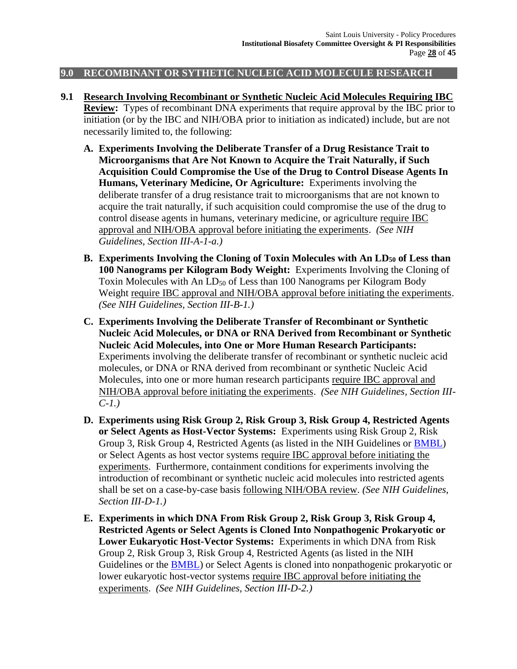#### **9.0 RECOMBINANT OR SYTHETIC NUCLEIC ACID MOLECULE RESEARCH**

- **9.1 Research Involving Recombinant or Synthetic Nucleic Acid Molecules Requiring IBC Review:** Types of recombinant DNA experiments that require approval by the IBC prior to initiation (or by the IBC and NIH/OBA prior to initiation as indicated) include, but are not necessarily limited to, the following:
	- **A. Experiments Involving the Deliberate Transfer of a Drug Resistance Trait to Microorganisms that Are Not Known to Acquire the Trait Naturally, if Such Acquisition Could Compromise the Use of the Drug to Control Disease Agents In Humans, Veterinary Medicine, Or Agriculture:** Experiments involving the deliberate transfer of a drug resistance trait to microorganisms that are not known to acquire the trait naturally, if such acquisition could compromise the use of the drug to control disease agents in humans, veterinary medicine, or agriculture require IBC approval and NIH/OBA approval before initiating the experiments. *(See NIH Guidelines, Section III-A-1-a.)*
	- **B. Experiments Involving the Cloning of Toxin Molecules with An LD<sup>50</sup> of Less than 100 Nanograms per Kilogram Body Weight:** Experiments Involving the Cloning of Toxin Molecules with An  $LD_{50}$  of Less than 100 Nanograms per Kilogram Body Weight require IBC approval and NIH/OBA approval before initiating the experiments. *(See NIH Guidelines, Section III-B-1.)*
	- **C. Experiments Involving the Deliberate Transfer of Recombinant or Synthetic Nucleic Acid Molecules, or DNA or RNA Derived from Recombinant or Synthetic Nucleic Acid Molecules, into One or More Human Research Participants:**  Experiments involving the deliberate transfer of recombinant or synthetic nucleic acid molecules, or DNA or RNA derived from recombinant or synthetic Nucleic Acid Molecules, into one or more human research participants require IBC approval and NIH/OBA approval before initiating the experiments. *(See NIH Guidelines, Section III-C-1.)*
	- **D. Experiments using Risk Group 2, Risk Group 3, Risk Group 4, Restricted Agents or Select Agents as Host-Vector Systems:** Experiments using Risk Group 2, Risk Group 3, Risk Group 4, Restricted Agents (as listed in the NIH Guidelines or [BMBL\)](http://www.cdc.gov/od/ohs/biosfty/bmbl5/bmbl5toc.htm) or Select Agents as host vector systems require IBC approval before initiating the experiments. Furthermore, containment conditions for experiments involving the introduction of recombinant or synthetic nucleic acid molecules into restricted agents shall be set on a case-by-case basis following NIH/OBA review. *(See NIH Guidelines, Section III-D-1.)*
	- **E. Experiments in which DNA From Risk Group 2, Risk Group 3, Risk Group 4, Restricted Agents or Select Agents is Cloned Into Nonpathogenic Prokaryotic or Lower Eukaryotic Host-Vector Systems:** Experiments in which DNA from Risk Group 2, Risk Group 3, Risk Group 4, Restricted Agents (as listed in the NIH Guidelines or the [BMBL\)](http://www.cdc.gov/od/ohs/biosfty/bmbl5/bmbl5toc.htm) or Select Agents is cloned into nonpathogenic prokaryotic or lower eukaryotic host-vector systems require IBC approval before initiating the experiments. *(See NIH Guidelines, Section III-D-2.)*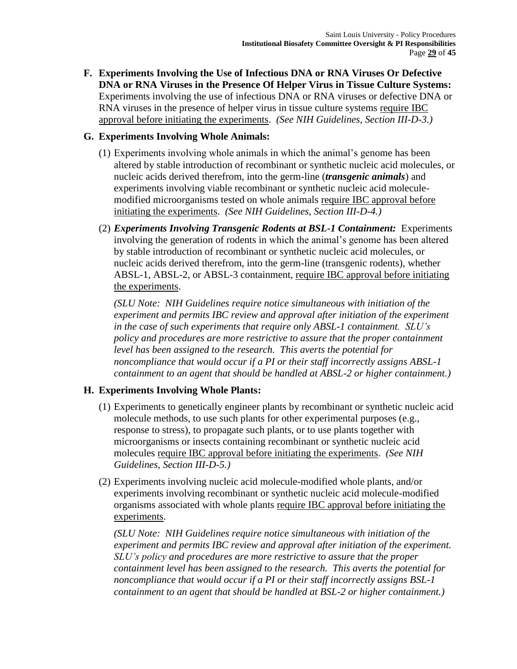**F. Experiments Involving the Use of Infectious DNA or RNA Viruses Or Defective DNA or RNA Viruses in the Presence Of Helper Virus in Tissue Culture Systems:**  Experiments involving the use of infectious DNA or RNA viruses or defective DNA or RNA viruses in the presence of helper virus in tissue culture systems require IBC approval before initiating the experiments. *(See NIH Guidelines, Section III-D-3.)*

## **G. Experiments Involving Whole Animals:**

- (1) Experiments involving whole animals in which the animal's genome has been altered by stable introduction of recombinant or synthetic nucleic acid molecules, or nucleic acids derived therefrom, into the germ-line (*transgenic animals*) and experiments involving viable recombinant or synthetic nucleic acid moleculemodified microorganisms tested on whole animals require IBC approval before initiating the experiments. *(See NIH Guidelines, Section III-D-4.)*
- (2) *Experiments Involving Transgenic Rodents at BSL-1 Containment:* Experiments involving the generation of rodents in which the animal's genome has been altered by stable introduction of recombinant or synthetic nucleic acid molecules, or nucleic acids derived therefrom, into the germ-line (transgenic rodents), whether ABSL-1, ABSL-2, or ABSL-3 containment, require IBC approval before initiating the experiments.

*(SLU Note: NIH Guidelines require notice simultaneous with initiation of the experiment and permits IBC review and approval after initiation of the experiment in the case of such experiments that require only ABSL-1 containment. SLU's policy and procedures are more restrictive to assure that the proper containment level has been assigned to the research. This averts the potential for noncompliance that would occur if a PI or their staff incorrectly assigns ABSL-1 containment to an agent that should be handled at ABSL-2 or higher containment.)*

# **H. Experiments Involving Whole Plants:**

- (1) Experiments to genetically engineer plants by recombinant or synthetic nucleic acid molecule methods, to use such plants for other experimental purposes (e.g., response to stress), to propagate such plants, or to use plants together with microorganisms or insects containing recombinant or synthetic nucleic acid molecules require IBC approval before initiating the experiments. *(See NIH Guidelines, Section III-D-5.)*
- (2) Experiments involving nucleic acid molecule-modified whole plants, and/or experiments involving recombinant or synthetic nucleic acid molecule-modified organisms associated with whole plants require IBC approval before initiating the experiments.

*(SLU Note: NIH Guidelines require notice simultaneous with initiation of the experiment and permits IBC review and approval after initiation of the experiment. SLU's policy and procedures are more restrictive to assure that the proper containment level has been assigned to the research. This averts the potential for noncompliance that would occur if a PI or their staff incorrectly assigns BSL-1 containment to an agent that should be handled at BSL-2 or higher containment.)*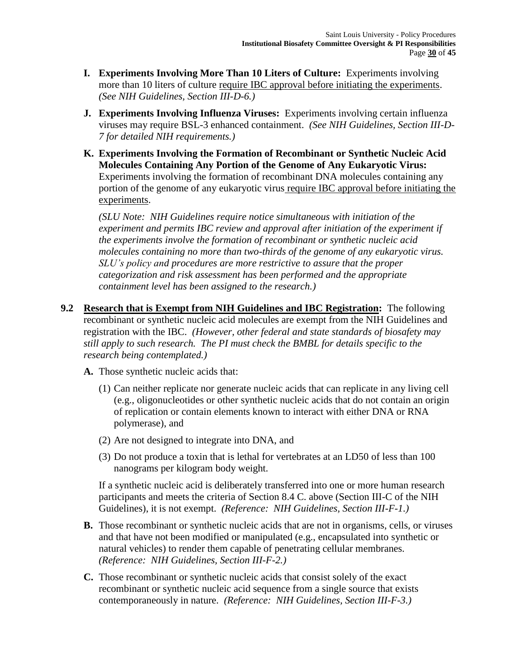- **I. Experiments Involving More Than 10 Liters of Culture:** Experiments involving more than 10 liters of culture require IBC approval before initiating the experiments. *(See NIH Guidelines, Section III-D-6.)*
- **J. Experiments Involving Influenza Viruses:** Experiments involving certain influenza viruses may require BSL-3 enhanced containment.*(See NIH Guidelines, Section III-D-7 for detailed NIH requirements.)*
- **K. Experiments Involving the Formation of Recombinant or Synthetic Nucleic Acid Molecules Containing Any Portion of the Genome of Any Eukaryotic Virus:**  Experiments involving the formation of recombinant DNA molecules containing any portion of the genome of any eukaryotic virus require IBC approval before initiating the experiments.

*(SLU Note: NIH Guidelines require notice simultaneous with initiation of the experiment and permits IBC review and approval after initiation of the experiment if the experiments involve the formation of recombinant or synthetic nucleic acid molecules containing no more than two-thirds of the genome of any eukaryotic virus. SLU's policy and procedures are more restrictive to assure that the proper categorization and risk assessment has been performed and the appropriate containment level has been assigned to the research.)*

- **9.2 Research that is Exempt from NIH Guidelines and IBC Registration:** The following recombinant or synthetic nucleic acid molecules are exempt from the NIH Guidelines and registration with the IBC. *(However, other federal and state standards of biosafety may still apply to such research. The PI must check the BMBL for details specific to the research being contemplated.)*
	- **A.** Those synthetic nucleic acids that:
		- (1) Can neither replicate nor generate nucleic acids that can replicate in any living cell (e.g., oligonucleotides or other synthetic nucleic acids that do not contain an origin of replication or contain elements known to interact with either DNA or RNA polymerase), and
		- (2) Are not designed to integrate into DNA, and
		- (3) Do not produce a toxin that is lethal for vertebrates at an LD50 of less than 100 nanograms per kilogram body weight.

If a synthetic nucleic acid is deliberately transferred into one or more human research participants and meets the criteria of Section 8.4 C. above (Section III-C of the NIH Guidelines), it is not exempt. *(Reference: NIH Guidelines, Section III-F-1.)*

- **B.** Those recombinant or synthetic nucleic acids that are not in organisms, cells, or viruses and that have not been modified or manipulated (e.g., encapsulated into synthetic or natural vehicles) to render them capable of penetrating cellular membranes. *(Reference: NIH Guidelines, Section III-F-2.)*
- **C.** Those recombinant or synthetic nucleic acids that consist solely of the exact recombinant or synthetic nucleic acid sequence from a single source that exists contemporaneously in nature. *(Reference: NIH Guidelines, Section III-F-3.)*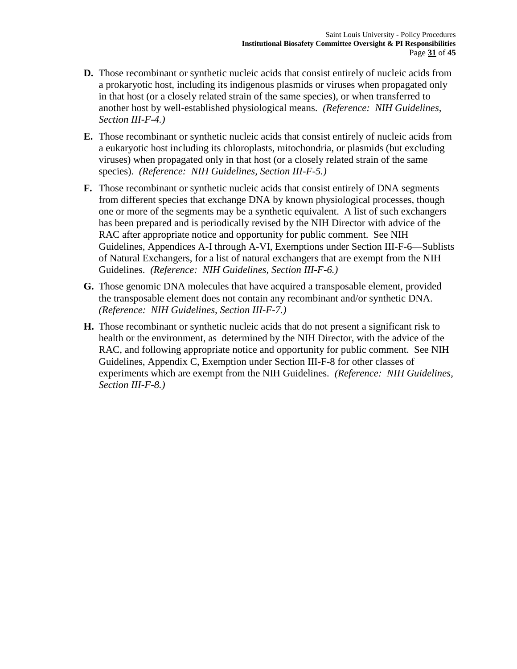- **D.** Those recombinant or synthetic nucleic acids that consist entirely of nucleic acids from a prokaryotic host, including its indigenous plasmids or viruses when propagated only in that host (or a closely related strain of the same species), or when transferred to another host by well-established physiological means. *(Reference: NIH Guidelines, Section III-F-4.)*
- **E.** Those recombinant or synthetic nucleic acids that consist entirely of nucleic acids from a eukaryotic host including its chloroplasts, mitochondria, or plasmids (but excluding viruses) when propagated only in that host (or a closely related strain of the same species). *(Reference: NIH Guidelines, Section III-F-5.)*
- **F.** Those recombinant or synthetic nucleic acids that consist entirely of DNA segments from different species that exchange DNA by known physiological processes, though one or more of the segments may be a synthetic equivalent. A list of such exchangers has been prepared and is periodically revised by the NIH Director with advice of the RAC after appropriate notice and opportunity for public comment. See NIH Guidelines, Appendices A-I through A-VI, Exemptions under Section III-F-6—Sublists of Natural Exchangers, for a list of natural exchangers that are exempt from the NIH Guidelines. *(Reference: NIH Guidelines, Section III-F-6.)*
- **G.** Those genomic DNA molecules that have acquired a transposable element, provided the transposable element does not contain any recombinant and/or synthetic DNA. *(Reference: NIH Guidelines, Section III-F-7.)*
- **H.** Those recombinant or synthetic nucleic acids that do not present a significant risk to health or the environment, as determined by the NIH Director, with the advice of the RAC, and following appropriate notice and opportunity for public comment. See NIH Guidelines, Appendix C, Exemption under Section III-F-8 for other classes of experiments which are exempt from the NIH Guidelines. *(Reference: NIH Guidelines, Section III-F-8.)*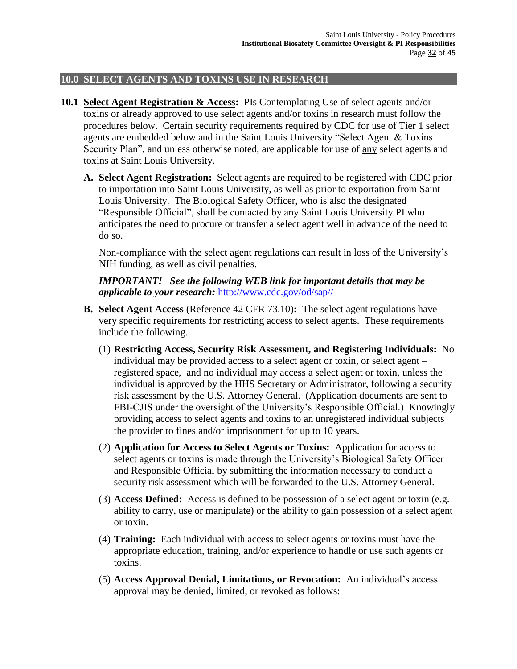#### **10.0 SELECT AGENTS AND TOXINS USE IN RESEARCH**

- **10.1 Select Agent Registration & Access:** PIs Contemplating Use of select agents and/or toxins or already approved to use select agents and/or toxins in research must follow the procedures below. Certain security requirements required by CDC for use of Tier 1 select agents are embedded below and in the Saint Louis University "Select Agent & Toxins Security Plan", and unless otherwise noted, are applicable for use of any select agents and toxins at Saint Louis University.
	- **A. Select Agent Registration:** Select agents are required to be registered with CDC prior to importation into Saint Louis University, as well as prior to exportation from Saint Louis University. The Biological Safety Officer, who is also the designated "Responsible Official", shall be contacted by any Saint Louis University PI who anticipates the need to procure or transfer a select agent well in advance of the need to do so.

Non-compliance with the select agent regulations can result in loss of the University's NIH funding, as well as civil penalties.

*IMPORTANT! See the following WEB link for important details that may be applicable to your research:* [http://www.cdc.gov/od/sap//](http://www.cdc.gov/od/sap/)

- **B. Select Agent Access** (Reference 42 CFR 73.10)**:** The select agent regulations have very specific requirements for restricting access to select agents. These requirements include the following.
	- (1) **Restricting Access, Security Risk Assessment, and Registering Individuals:** No individual may be provided access to a select agent or toxin, or select agent – registered space, and no individual may access a select agent or toxin, unless the individual is approved by the HHS Secretary or Administrator, following a security risk assessment by the U.S. Attorney General. (Application documents are sent to FBI-CJIS under the oversight of the University's Responsible Official.) Knowingly providing access to select agents and toxins to an unregistered individual subjects the provider to fines and/or imprisonment for up to 10 years.
	- (2) **Application for Access to Select Agents or Toxins:** Application for access to select agents or toxins is made through the University's Biological Safety Officer and Responsible Official by submitting the information necessary to conduct a security risk assessment which will be forwarded to the U.S. Attorney General.
	- (3) **Access Defined:** Access is defined to be possession of a select agent or toxin (e.g. ability to carry, use or manipulate) or the ability to gain possession of a select agent or toxin.
	- (4) **Training:** Each individual with access to select agents or toxins must have the appropriate education, training, and/or experience to handle or use such agents or toxins.
	- (5) **Access Approval Denial, Limitations, or Revocation:** An individual's access approval may be denied, limited, or revoked as follows: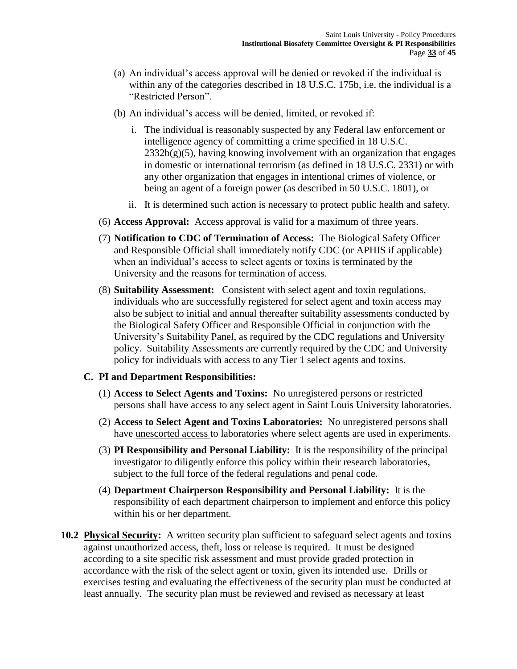- (a) An individual's access approval will be denied or revoked if the individual is within any of the categories described in 18 U.S.C. 175b, i.e. the individual is a "Restricted Person".
- (b) An individual's access will be denied, limited, or revoked if:
	- i. The individual is reasonably suspected by any Federal law enforcement or intelligence agency of committing a crime specified in 18 U.S.C.  $2332b(g)(5)$ , having knowing involvement with an organization that engages in domestic or international terrorism (as defined in 18 U.S.C. 2331) or with any other organization that engages in intentional crimes of violence, or being an agent of a foreign power (as described in 50 U.S.C. 1801), or
	- ii. It is determined such action is necessary to protect public health and safety.
- (6) **Access Approval:** Access approval is valid for a maximum of three years.
- (7) **Notification to CDC of Termination of Access:** The Biological Safety Officer and Responsible Official shall immediately notify CDC (or APHIS if applicable) when an individual's access to select agents or toxins is terminated by the University and the reasons for termination of access.
- (8) **Suitability Assessment:** Consistent with select agent and toxin regulations, individuals who are successfully registered for select agent and toxin access may also be subject to initial and annual thereafter suitability assessments conducted by the Biological Safety Officer and Responsible Official in conjunction with the University's Suitability Panel, as required by the CDC regulations and University policy. Suitability Assessments are currently required by the CDC and University policy for individuals with access to any Tier 1 select agents and toxins.

#### **C. PI and Department Responsibilities:**

- (1) **Access to Select Agents and Toxins:** No unregistered persons or restricted persons shall have access to any select agent in Saint Louis University laboratories.
- (2) **Access to Select Agent and Toxins Laboratories:** No unregistered persons shall have unescorted access to laboratories where select agents are used in experiments.
- (3) **PI Responsibility and Personal Liability:** It is the responsibility of the principal investigator to diligently enforce this policy within their research laboratories, subject to the full force of the federal regulations and penal code.
- (4) **Department Chairperson Responsibility and Personal Liability:** It is the responsibility of each department chairperson to implement and enforce this policy within his or her department.
- **10.2 Physical Security:** A written security plan sufficient to safeguard select agents and toxins against unauthorized access, theft, loss or release is required. It must be designed according to a site specific risk assessment and must provide graded protection in accordance with the risk of the select agent or toxin, given its intended use. Drills or exercises testing and evaluating the effectiveness of the security plan must be conducted at least annually. The security plan must be reviewed and revised as necessary at least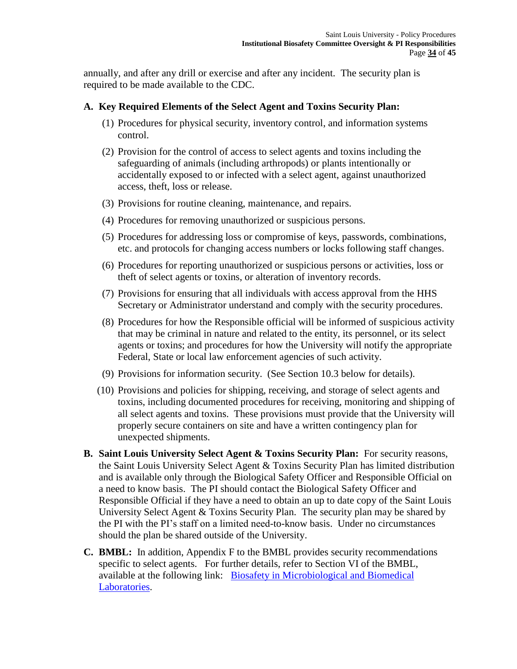annually, and after any drill or exercise and after any incident. The security plan is required to be made available to the CDC.

## **A. Key Required Elements of the Select Agent and Toxins Security Plan:**

- (1) Procedures for physical security, inventory control, and information systems control.
- (2) Provision for the control of access to select agents and toxins including the safeguarding of animals (including arthropods) or plants intentionally or accidentally exposed to or infected with a select agent, against unauthorized access, theft, loss or release.
- (3) Provisions for routine cleaning, maintenance, and repairs.
- (4) Procedures for removing unauthorized or suspicious persons.
- (5) Procedures for addressing loss or compromise of keys, passwords, combinations, etc. and protocols for changing access numbers or locks following staff changes.
- (6) Procedures for reporting unauthorized or suspicious persons or activities, loss or theft of select agents or toxins, or alteration of inventory records.
- (7) Provisions for ensuring that all individuals with access approval from the HHS Secretary or Administrator understand and comply with the security procedures.
- (8) Procedures for how the Responsible official will be informed of suspicious activity that may be criminal in nature and related to the entity, its personnel, or its select agents or toxins; and procedures for how the University will notify the appropriate Federal, State or local law enforcement agencies of such activity.
- (9) Provisions for information security. (See Section 10.3 below for details).
- (10) Provisions and policies for shipping, receiving, and storage of select agents and toxins, including documented procedures for receiving, monitoring and shipping of all select agents and toxins. These provisions must provide that the University will properly secure containers on site and have a written contingency plan for unexpected shipments.
- **B. Saint Louis University Select Agent & Toxins Security Plan:** For security reasons, the Saint Louis University Select Agent & Toxins Security Plan has limited distribution and is available only through the Biological Safety Officer and Responsible Official on a need to know basis. The PI should contact the Biological Safety Officer and Responsible Official if they have a need to obtain an up to date copy of the Saint Louis University Select Agent & Toxins Security Plan. The security plan may be shared by the PI with the PI's staff on a limited need-to-know basis. Under no circumstances should the plan be shared outside of the University.
- **C. BMBL:** In addition, Appendix F to the BMBL provides security recommendations specific to select agents. For further details, refer to Section VI of the BMBL, available at the following link: Biosafety in Microbiological and Biomedical [Laboratories.](http://www.cdc.gov/biosafety/publications/bmbl5/)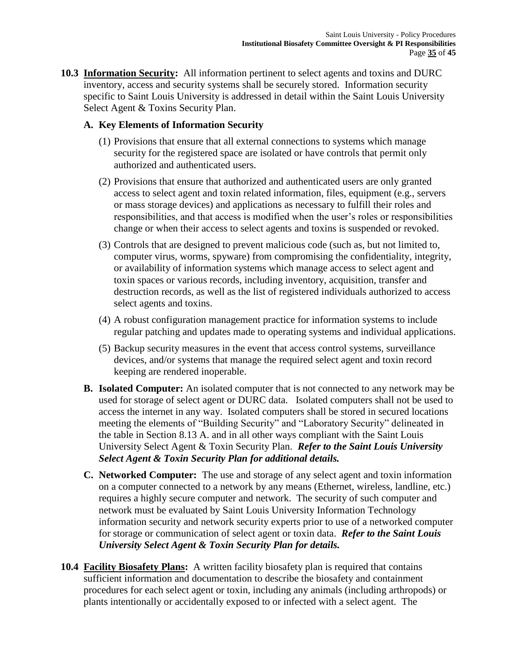**10.3 Information Security:** All information pertinent to select agents and toxins and DURC inventory, access and security systems shall be securely stored. Information security specific to Saint Louis University is addressed in detail within the Saint Louis University Select Agent & Toxins Security Plan.

# **A. Key Elements of Information Security**

- (1) Provisions that ensure that all external connections to systems which manage security for the registered space are isolated or have controls that permit only authorized and authenticated users.
- (2) Provisions that ensure that authorized and authenticated users are only granted access to select agent and toxin related information, files, equipment (e.g., servers or mass storage devices) and applications as necessary to fulfill their roles and responsibilities, and that access is modified when the user's roles or responsibilities change or when their access to select agents and toxins is suspended or revoked.
- (3) Controls that are designed to prevent malicious code (such as, but not limited to, computer virus, worms, spyware) from compromising the confidentiality, integrity, or availability of information systems which manage access to select agent and toxin spaces or various records, including inventory, acquisition, transfer and destruction records, as well as the list of registered individuals authorized to access select agents and toxins.
- (4) A robust configuration management practice for information systems to include regular patching and updates made to operating systems and individual applications.
- (5) Backup security measures in the event that access control systems, surveillance devices, and/or systems that manage the required select agent and toxin record keeping are rendered inoperable.
- **B. Isolated Computer:** An isolated computer that is not connected to any network may be used for storage of select agent or DURC data. Isolated computers shall not be used to access the internet in any way. Isolated computers shall be stored in secured locations meeting the elements of "Building Security" and "Laboratory Security" delineated in the table in Section 8.13 A. and in all other ways compliant with the Saint Louis University Select Agent & Toxin Security Plan. *Refer to the Saint Louis University Select Agent & Toxin Security Plan for additional details.*
- **C. Networked Computer:** The use and storage of any select agent and toxin information on a computer connected to a network by any means (Ethernet, wireless, landline, etc.) requires a highly secure computer and network. The security of such computer and network must be evaluated by Saint Louis University Information Technology information security and network security experts prior to use of a networked computer for storage or communication of select agent or toxin data. *Refer to the Saint Louis University Select Agent & Toxin Security Plan for details.*
- **10.4 Facility Biosafety Plans:** A written facility biosafety plan is required that contains sufficient information and documentation to describe the biosafety and containment procedures for each select agent or toxin, including any animals (including arthropods) or plants intentionally or accidentally exposed to or infected with a select agent. The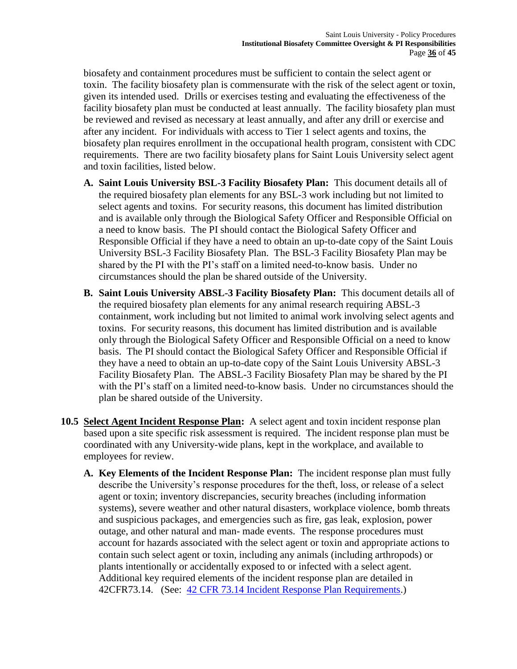biosafety and containment procedures must be sufficient to contain the select agent or toxin. The facility biosafety plan is commensurate with the risk of the select agent or toxin, given its intended used. Drills or exercises testing and evaluating the effectiveness of the facility biosafety plan must be conducted at least annually. The facility biosafety plan must be reviewed and revised as necessary at least annually, and after any drill or exercise and after any incident. For individuals with access to Tier 1 select agents and toxins, the biosafety plan requires enrollment in the occupational health program, consistent with CDC requirements. There are two facility biosafety plans for Saint Louis University select agent and toxin facilities, listed below.

- **A. Saint Louis University BSL-3 Facility Biosafety Plan:** This document details all of the required biosafety plan elements for any BSL-3 work including but not limited to select agents and toxins. For security reasons, this document has limited distribution and is available only through the Biological Safety Officer and Responsible Official on a need to know basis. The PI should contact the Biological Safety Officer and Responsible Official if they have a need to obtain an up-to-date copy of the Saint Louis University BSL-3 Facility Biosafety Plan. The BSL-3 Facility Biosafety Plan may be shared by the PI with the PI's staff on a limited need-to-know basis. Under no circumstances should the plan be shared outside of the University.
- **B. Saint Louis University ABSL-3 Facility Biosafety Plan:** This document details all of the required biosafety plan elements for any animal research requiring ABSL-3 containment, work including but not limited to animal work involving select agents and toxins. For security reasons, this document has limited distribution and is available only through the Biological Safety Officer and Responsible Official on a need to know basis. The PI should contact the Biological Safety Officer and Responsible Official if they have a need to obtain an up-to-date copy of the Saint Louis University ABSL-3 Facility Biosafety Plan. The ABSL-3 Facility Biosafety Plan may be shared by the PI with the PI's staff on a limited need-to-know basis. Under no circumstances should the plan be shared outside of the University.
- **10.5 Select Agent Incident Response Plan:** A select agent and toxin incident response plan based upon a site specific risk assessment is required. The incident response plan must be coordinated with any University-wide plans, kept in the workplace, and available to employees for review.
	- **A. Key Elements of the Incident Response Plan:** The incident response plan must fully describe the University's response procedures for the theft, loss, or release of a select agent or toxin; inventory discrepancies, security breaches (including information systems), severe weather and other natural disasters, workplace violence, bomb threats and suspicious packages, and emergencies such as fire, gas leak, explosion, power outage, and other natural and man- made events. The response procedures must account for hazards associated with the select agent or toxin and appropriate actions to contain such select agent or toxin, including any animals (including arthropods) or plants intentionally or accidentally exposed to or infected with a select agent. Additional key required elements of the incident response plan are detailed in 42CFR73.14. (See: [42 CFR 73.14 Incident Response Plan Requirements.](http://www.ecfr.gov/cgi-bin/text-idx?SID=fee034c105647f4af49f90b8e463c7b6&mc=true&node=pt42.1.73&rgn=div5#se42.1.73_114))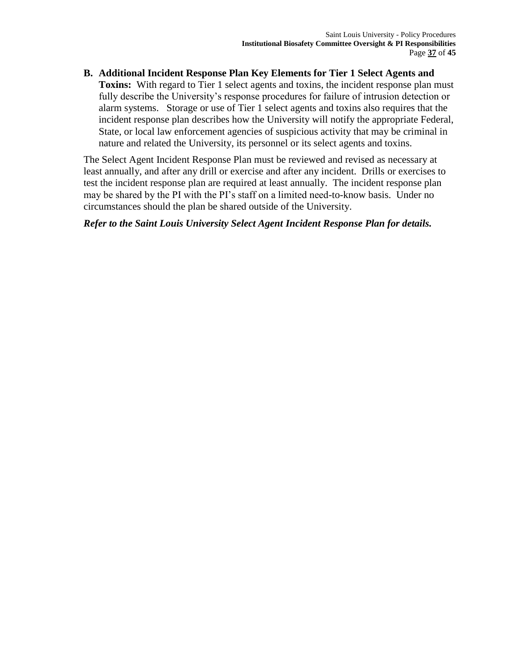**B. Additional Incident Response Plan Key Elements for Tier 1 Select Agents and Toxins:** With regard to Tier 1 select agents and toxins, the incident response plan must fully describe the University's response procedures for failure of intrusion detection or alarm systems. Storage or use of Tier 1 select agents and toxins also requires that the incident response plan describes how the University will notify the appropriate Federal, State, or local law enforcement agencies of suspicious activity that may be criminal in nature and related the University, its personnel or its select agents and toxins.

The Select Agent Incident Response Plan must be reviewed and revised as necessary at least annually, and after any drill or exercise and after any incident. Drills or exercises to test the incident response plan are required at least annually. The incident response plan may be shared by the PI with the PI's staff on a limited need-to-know basis. Under no circumstances should the plan be shared outside of the University.

## *Refer to the Saint Louis University Select Agent Incident Response Plan for details.*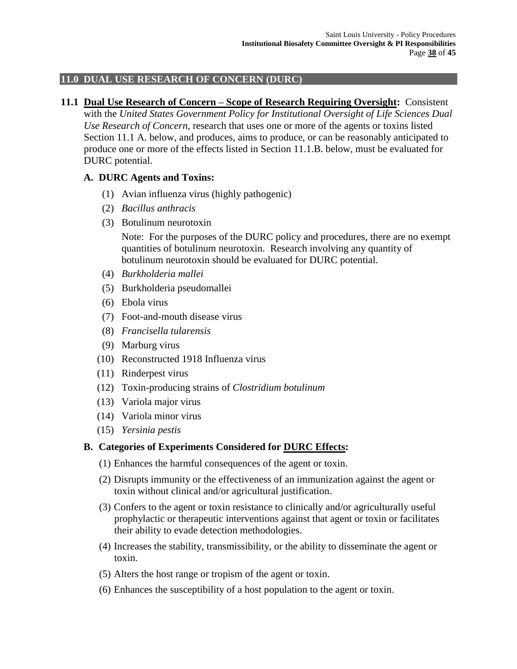# **11.0 DUAL USE RESEARCH OF CONCERN (DURC)**

#### **11.1 Dual Use Research of Concern – Scope of Research Requiring Oversight:** Consistent

with the *United States Government Policy for Institutional Oversight of Life Sciences Dual Use Research of Concern*, research that uses one or more of the agents or toxins listed Section 11.1 A. below, and produces, aims to produce, or can be reasonably anticipated to produce one or more of the effects listed in Section 11.1.B. below, must be evaluated for DURC potential.

## **A. DURC Agents and Toxins:**

- (1) Avian influenza virus (highly pathogenic)
- (2) *Bacillus anthracis*
- (3) Botulinum neurotoxin

Note: For the purposes of the DURC policy and procedures, there are no exempt quantities of botulinum neurotoxin. Research involving any quantity of botulinum neurotoxin should be evaluated for DURC potential.

- (4) *Burkholderia mallei*
- (5) Burkholderia pseudomallei
- (6) Ebola virus
- (7) Foot-and-mouth disease virus
- (8) *Francisella tularensis*
- (9) Marburg virus
- (10) Reconstructed 1918 Influenza virus
- (11) Rinderpest virus
- (12) Toxin-producing strains of *Clostridium botulinum*
- (13) Variola major virus
- (14) Variola minor virus
- (15) *Yersinia pestis*

## **B. Categories of Experiments Considered for DURC Effects:**

- (1) Enhances the harmful consequences of the agent or toxin.
- (2) Disrupts immunity or the effectiveness of an immunization against the agent or toxin without clinical and/or agricultural justification.
- (3) Confers to the agent or toxin resistance to clinically and/or agriculturally useful prophylactic or therapeutic interventions against that agent or toxin or facilitates their ability to evade detection methodologies.
- (4) Increases the stability, transmissibility, or the ability to disseminate the agent or toxin.
- (5) Alters the host range or tropism of the agent or toxin.
- (6) Enhances the susceptibility of a host population to the agent or toxin.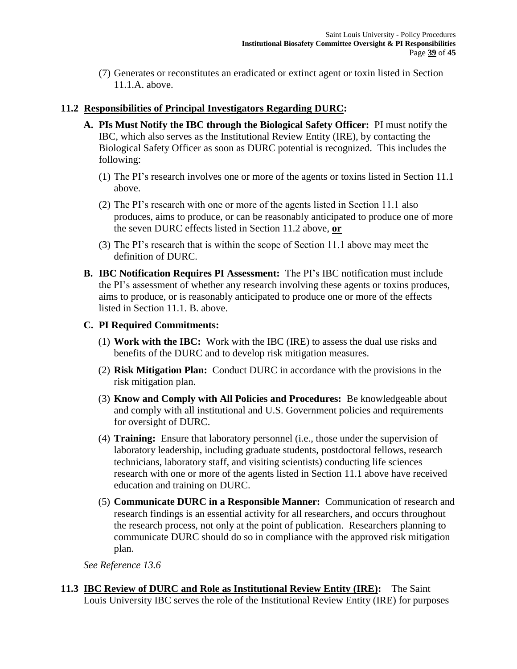(7) Generates or reconstitutes an eradicated or extinct agent or toxin listed in Section 11.1.A. above.

## **11.2 Responsibilities of Principal Investigators Regarding DURC:**

- **A. PIs Must Notify the IBC through the Biological Safety Officer:** PI must notify the IBC, which also serves as the Institutional Review Entity (IRE), by contacting the Biological Safety Officer as soon as DURC potential is recognized. This includes the following:
	- (1) The PI's research involves one or more of the agents or toxins listed in Section 11.1 above.
	- (2) The PI's research with one or more of the agents listed in Section 11.1 also produces, aims to produce, or can be reasonably anticipated to produce one of more the seven DURC effects listed in Section 11.2 above, **or**
	- (3) The PI's research that is within the scope of Section 11.1 above may meet the definition of DURC.
- **B. IBC Notification Requires PI Assessment:** The PI's IBC notification must include the PI's assessment of whether any research involving these agents or toxins produces, aims to produce, or is reasonably anticipated to produce one or more of the effects listed in Section 11.1. B. above.

#### **C. PI Required Commitments:**

- (1) **Work with the IBC:** Work with the IBC (IRE) to assess the dual use risks and benefits of the DURC and to develop risk mitigation measures.
- (2) **Risk Mitigation Plan:** Conduct DURC in accordance with the provisions in the risk mitigation plan.
- (3) **Know and Comply with All Policies and Procedures:** Be knowledgeable about and comply with all institutional and U.S. Government policies and requirements for oversight of DURC.
- (4) **Training:** Ensure that laboratory personnel (i.e., those under the supervision of laboratory leadership, including graduate students, postdoctoral fellows, research technicians, laboratory staff, and visiting scientists) conducting life sciences research with one or more of the agents listed in Section 11.1 above have received education and training on DURC.
- (5) **Communicate DURC in a Responsible Manner:** Communication of research and research findings is an essential activity for all researchers, and occurs throughout the research process, not only at the point of publication. Researchers planning to communicate DURC should do so in compliance with the approved risk mitigation plan.

*See Reference 13.6*

**11.3 IBC Review of DURC and Role as Institutional Review Entity (IRE):** The Saint Louis University IBC serves the role of the Institutional Review Entity (IRE) for purposes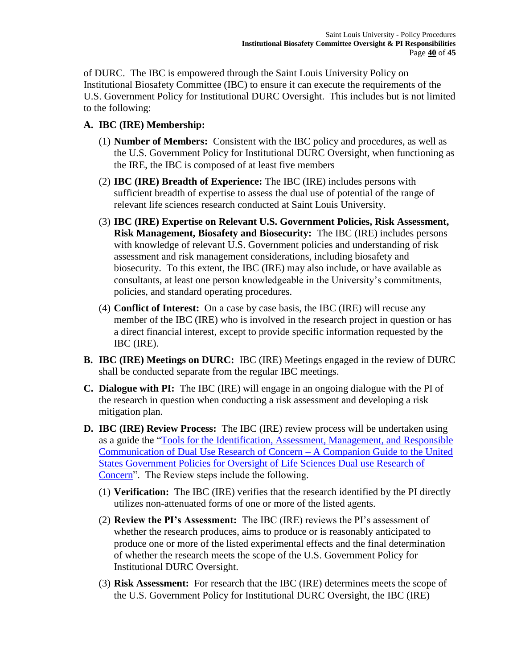of DURC. The IBC is empowered through the Saint Louis University Policy on Institutional Biosafety Committee (IBC) to ensure it can execute the requirements of the U.S. Government Policy for Institutional DURC Oversight. This includes but is not limited to the following:

# **A. IBC (IRE) Membership:**

- (1) **Number of Members:** Consistent with the IBC policy and procedures, as well as the U.S. Government Policy for Institutional DURC Oversight, when functioning as the IRE, the IBC is composed of at least five members
- (2) **IBC (IRE) Breadth of Experience:** The IBC (IRE) includes persons with sufficient breadth of expertise to assess the dual use of potential of the range of relevant life sciences research conducted at Saint Louis University.
- (3) **IBC (IRE) Expertise on Relevant U.S. Government Policies, Risk Assessment, Risk Management, Biosafety and Biosecurity:** The IBC (IRE) includes persons with knowledge of relevant U.S. Government policies and understanding of risk assessment and risk management considerations, including biosafety and biosecurity. To this extent, the IBC (IRE) may also include, or have available as consultants, at least one person knowledgeable in the University's commitments, policies, and standard operating procedures.
- (4) **Conflict of Interest:** On a case by case basis, the IBC (IRE) will recuse any member of the IBC (IRE) who is involved in the research project in question or has a direct financial interest, except to provide specific information requested by the IBC (IRE).
- **B. IBC (IRE) Meetings on DURC:** IBC (IRE) Meetings engaged in the review of DURC shall be conducted separate from the regular IBC meetings.
- **C. Dialogue with PI:** The IBC (IRE) will engage in an ongoing dialogue with the PI of the research in question when conducting a risk assessment and developing a risk mitigation plan.
- **D. IBC (IRE) Review Process:** The IBC (IRE) review process will be undertaken using as a guide the ["Tools for the Identification, Assessment, Management, and Responsible](http://www.phe.gov/s3/dualuse/Documents/durc-companion-guide.pdf)  [Communication of Dual Use Research of Concern –](http://www.phe.gov/s3/dualuse/Documents/durc-companion-guide.pdf) A Companion Guide to the United [States Government Policies for Oversight of Life Sciences Dual use Research of](http://www.phe.gov/s3/dualuse/Documents/durc-companion-guide.pdf)  [Concern"](http://www.phe.gov/s3/dualuse/Documents/durc-companion-guide.pdf). The Review steps include the following.
	- (1) **Verification:** The IBC (IRE) verifies that the research identified by the PI directly utilizes non-attenuated forms of one or more of the listed agents.
	- (2) **Review the PI's Assessment:** The IBC (IRE) reviews the PI's assessment of whether the research produces, aims to produce or is reasonably anticipated to produce one or more of the listed experimental effects and the final determination of whether the research meets the scope of the U.S. Government Policy for Institutional DURC Oversight.
	- (3) **Risk Assessment:** For research that the IBC (IRE) determines meets the scope of the U.S. Government Policy for Institutional DURC Oversight, the IBC (IRE)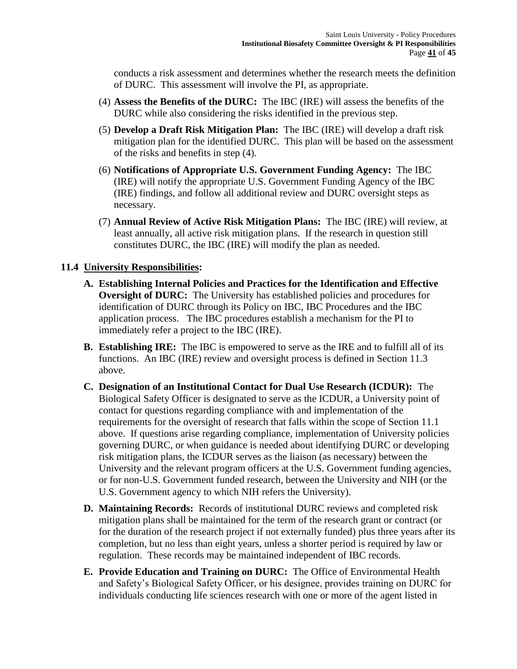conducts a risk assessment and determines whether the research meets the definition of DURC. This assessment will involve the PI, as appropriate.

- (4) **Assess the Benefits of the DURC:** The IBC (IRE) will assess the benefits of the DURC while also considering the risks identified in the previous step.
- (5) **Develop a Draft Risk Mitigation Plan:** The IBC (IRE) will develop a draft risk mitigation plan for the identified DURC. This plan will be based on the assessment of the risks and benefits in step (4).
- (6) **Notifications of Appropriate U.S. Government Funding Agency:** The IBC (IRE) will notify the appropriate U.S. Government Funding Agency of the IBC (IRE) findings, and follow all additional review and DURC oversight steps as necessary.
- (7) **Annual Review of Active Risk Mitigation Plans:** The IBC (IRE) will review, at least annually, all active risk mitigation plans. If the research in question still constitutes DURC, the IBC (IRE) will modify the plan as needed.

## **11.4 University Responsibilities:**

- **A. Establishing Internal Policies and Practices for the Identification and Effective Oversight of DURC:** The University has established policies and procedures for identification of DURC through its Policy on IBC, IBC Procedures and the IBC application process. The IBC procedures establish a mechanism for the PI to immediately refer a project to the IBC (IRE).
- **B. Establishing IRE:** The IBC is empowered to serve as the IRE and to fulfill all of its functions. An IBC (IRE) review and oversight process is defined in Section 11.3 above.
- **C. Designation of an Institutional Contact for Dual Use Research (ICDUR):** The Biological Safety Officer is designated to serve as the ICDUR, a University point of contact for questions regarding compliance with and implementation of the requirements for the oversight of research that falls within the scope of Section 11.1 above. If questions arise regarding compliance, implementation of University policies governing DURC, or when guidance is needed about identifying DURC or developing risk mitigation plans, the ICDUR serves as the liaison (as necessary) between the University and the relevant program officers at the U.S. Government funding agencies, or for non-U.S. Government funded research, between the University and NIH (or the U.S. Government agency to which NIH refers the University).
- **D. Maintaining Records:** Records of institutional DURC reviews and completed risk mitigation plans shall be maintained for the term of the research grant or contract (or for the duration of the research project if not externally funded) plus three years after its completion, but no less than eight years, unless a shorter period is required by law or regulation. These records may be maintained independent of IBC records.
- **E. Provide Education and Training on DURC:** The Office of Environmental Health and Safety's Biological Safety Officer, or his designee, provides training on DURC for individuals conducting life sciences research with one or more of the agent listed in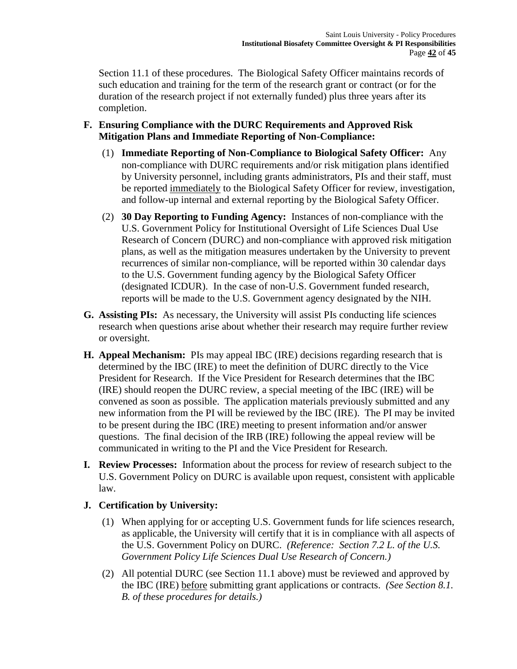Section 11.1 of these procedures. The Biological Safety Officer maintains records of such education and training for the term of the research grant or contract (or for the duration of the research project if not externally funded) plus three years after its completion.

- **F. Ensuring Compliance with the DURC Requirements and Approved Risk Mitigation Plans and Immediate Reporting of Non-Compliance:**
	- (1) **Immediate Reporting of Non-Compliance to Biological Safety Officer:** Any non-compliance with DURC requirements and/or risk mitigation plans identified by University personnel, including grants administrators, PIs and their staff, must be reported immediately to the Biological Safety Officer for review, investigation, and follow-up internal and external reporting by the Biological Safety Officer.
	- (2) **30 Day Reporting to Funding Agency:** Instances of non-compliance with the U.S. Government Policy for Institutional Oversight of Life Sciences Dual Use Research of Concern (DURC) and non-compliance with approved risk mitigation plans, as well as the mitigation measures undertaken by the University to prevent recurrences of similar non-compliance, will be reported within 30 calendar days to the U.S. Government funding agency by the Biological Safety Officer (designated ICDUR). In the case of non-U.S. Government funded research, reports will be made to the U.S. Government agency designated by the NIH.
- **G. Assisting PIs:** As necessary, the University will assist PIs conducting life sciences research when questions arise about whether their research may require further review or oversight.
- **H. Appeal Mechanism:** PIs may appeal IBC (IRE) decisions regarding research that is determined by the IBC (IRE) to meet the definition of DURC directly to the Vice President for Research. If the Vice President for Research determines that the IBC (IRE) should reopen the DURC review, a special meeting of the IBC (IRE) will be convened as soon as possible. The application materials previously submitted and any new information from the PI will be reviewed by the IBC (IRE). The PI may be invited to be present during the IBC (IRE) meeting to present information and/or answer questions. The final decision of the IRB (IRE) following the appeal review will be communicated in writing to the PI and the Vice President for Research.
- **I. Review Processes:** Information about the process for review of research subject to the U.S. Government Policy on DURC is available upon request, consistent with applicable law.

## **J. Certification by University:**

- (1) When applying for or accepting U.S. Government funds for life sciences research, as applicable, the University will certify that it is in compliance with all aspects of the U.S. Government Policy on DURC. *(Reference: Section 7.2 L. of the U.S. Government Policy Life Sciences Dual Use Research of Concern.)*
- (2) All potential DURC (see Section 11.1 above) must be reviewed and approved by the IBC (IRE) before submitting grant applications or contracts. *(See Section 8.1. B. of these procedures for details.)*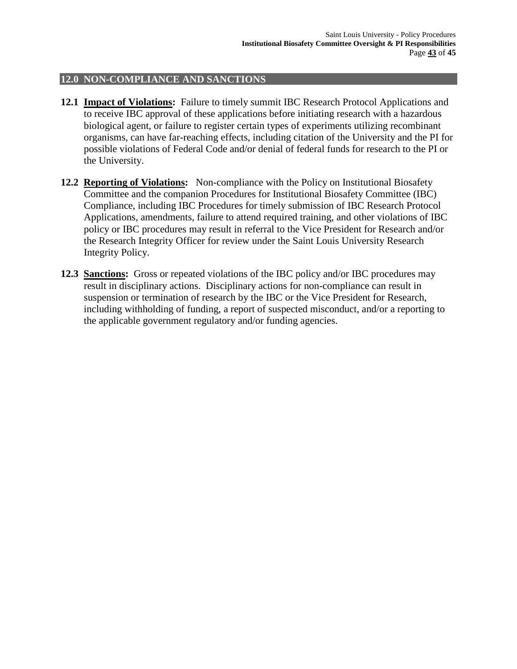#### **12.0 NON-COMPLIANCE AND SANCTIONS**

- **12.1 Impact of Violations:** Failure to timely summit IBC Research Protocol Applications and to receive IBC approval of these applications before initiating research with a hazardous biological agent, or failure to register certain types of experiments utilizing recombinant organisms, can have far-reaching effects, including citation of the University and the PI for possible violations of Federal Code and/or denial of federal funds for research to the PI or the University.
- **12.2 Reporting of Violations:** Non-compliance with the Policy on Institutional Biosafety Committee and the companion Procedures for Institutional Biosafety Committee (IBC) Compliance, including IBC Procedures for timely submission of IBC Research Protocol Applications, amendments, failure to attend required training, and other violations of IBC policy or IBC procedures may result in referral to the Vice President for Research and/or the Research Integrity Officer for review under the Saint Louis University Research Integrity Policy.
- **12.3 Sanctions:** Gross or repeated violations of the IBC policy and/or IBC procedures may result in disciplinary actions. Disciplinary actions for non-compliance can result in suspension or termination of research by the IBC or the Vice President for Research, including withholding of funding, a report of suspected misconduct, and/or a reporting to the applicable government regulatory and/or funding agencies.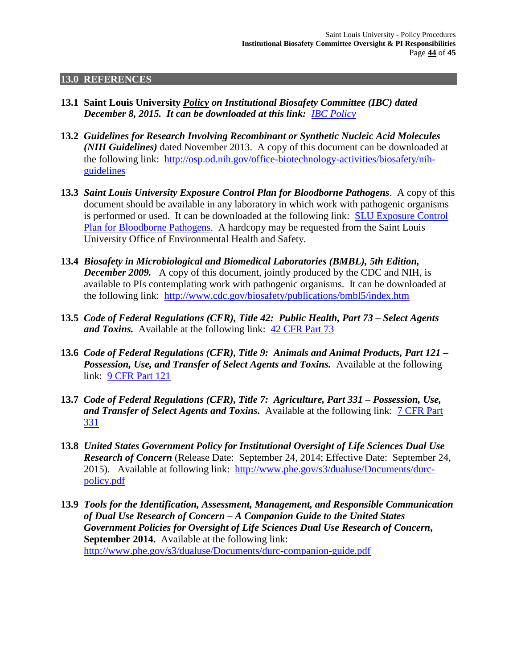#### **13.0 REFERENCES**

- **13.1 Saint Louis University** *Policy on Institutional Biosafety Committee (IBC) dated December 8, 2015. It can be downloaded at this link: [IBC Policy](http://www.slu.edu/Documents/research/environmental_health_safety/IBC_Policy_Letter.pdf)*
- **13.2** *Guidelines for Research Involving Recombinant or Synthetic Nucleic Acid Molecules (NIH Guidelines)* dated November 2013. A copy of this document can be downloaded at the following link: [http://osp.od.nih.gov/office-biotechnology-activities/biosafety/nih](http://osp.od.nih.gov/office-biotechnology-activities/biosafety/nih-guidelines)[guidelines](http://osp.od.nih.gov/office-biotechnology-activities/biosafety/nih-guidelines)
- **13.3** *Saint Louis University Exposure Control Plan for Bloodborne Pathogens*. A copy of this document should be available in any laboratory in which work with pathogenic organisms is performed or used. It can be downloaded at the following link: [SLU Exposure Control](http://www.slu.edu/Documents/research/environmental_health_safety/Exposure_Control_Plan_for_Bloodborne_Pathogens.pdf)  [Plan for Bloodborne Pathogens.](http://www.slu.edu/Documents/research/environmental_health_safety/Exposure_Control_Plan_for_Bloodborne_Pathogens.pdf) A hardcopy may be requested from the Saint Louis University Office of Environmental Health and Safety.
- **13.4** *Biosafety in Microbiological and Biomedical Laboratories (BMBL), 5th Edition, December 2009.* A copy of this document, jointly produced by the CDC and NIH, is available to PIs contemplating work with pathogenic organisms. It can be downloaded at the following link: <http://www.cdc.gov/biosafety/publications/bmbl5/index.htm>
- **13.5** *Code of Federal Regulations (CFR), Title 42: Public Health, Part 73 – Select Agents and Toxins.*Available at the following link:[42 CFR Part 73](http://www.ecfr.gov/cgi-bin/text-idx?tpl=/ecfrbrowse/Title42/42cfr73_main_02.tpl)
- **13.6** *Code of Federal Regulations (CFR), Title 9: Animals and Animal Products, Part 121 – Possession, Use, and Transfer of Select Agents and Toxins.* Available at the following link:[9 CFR Part 121](http://www.ecfr.gov/cgi-bin/retrieveECFR?gp=1&SID=b9126e9fba23e3e7933354a1d2630d72&ty=HTML&h=L&n=9y1.0.1.5.58&r=PART)
- **13.7** *Code of Federal Regulations (CFR), Title 7: Agriculture, Part 331 – Possession, Use, and Transfer of Select Agents and Toxins.* Available at the following link:[7 CFR Part](http://www.ecfr.gov/cgi-bin/retrieveECFR?gp=1&SID=b9126e9fba23e3e7933354a1d2630d72&ty=HTML&h=L&n=7y5.1.1.1.9&r=PART)  [331](http://www.ecfr.gov/cgi-bin/retrieveECFR?gp=1&SID=b9126e9fba23e3e7933354a1d2630d72&ty=HTML&h=L&n=7y5.1.1.1.9&r=PART)
- **13.8** *United States Government Policy for Institutional Oversight of Life Sciences Dual Use Research of Concern* (Release Date: September 24, 2014; Effective Date: September 24, 2015). Available at following link: [http://www.phe.gov/s3/dualuse/Documents/durc](http://www.phe.gov/s3/dualuse/Documents/durc-policy.pdf)[policy.pdf](http://www.phe.gov/s3/dualuse/Documents/durc-policy.pdf)
- **13.9** *Tools for the Identification, Assessment, Management, and Responsible Communication of Dual Use Research of Concern – A Companion Guide to the United States Government Policies for Oversight of Life Sciences Dual Use Research of Concern***, September 2014.** Available at the following link: <http://www.phe.gov/s3/dualuse/Documents/durc-companion-guide.pdf>